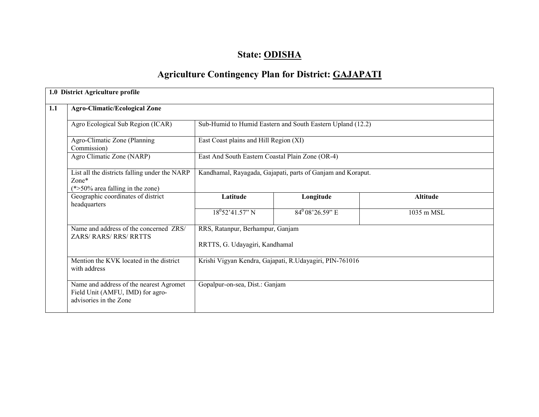# State: ODISHA

# Agriculture Contingency Plan for District: GAJAPATI

|     | 1.0 District Agriculture profile                                                                      |                                                                    |                                                             |                 |  |  |  |  |
|-----|-------------------------------------------------------------------------------------------------------|--------------------------------------------------------------------|-------------------------------------------------------------|-----------------|--|--|--|--|
| 1.1 | <b>Agro-Climatic/Ecological Zone</b>                                                                  |                                                                    |                                                             |                 |  |  |  |  |
|     | Agro Ecological Sub Region (ICAR)                                                                     |                                                                    | Sub-Humid to Humid Eastern and South Eastern Upland (12.2)  |                 |  |  |  |  |
|     | Agro-Climatic Zone (Planning<br>Commission)                                                           | East Coast plains and Hill Region (XI)                             |                                                             |                 |  |  |  |  |
|     | Agro Climatic Zone (NARP)                                                                             | East And South Eastern Coastal Plain Zone (OR-4)                   |                                                             |                 |  |  |  |  |
|     | List all the districts falling under the NARP<br>$Zone*$<br>$(*>50\%$ area falling in the zone)       |                                                                    | Kandhamal, Rayagada, Gajapati, parts of Ganjam and Koraput. |                 |  |  |  |  |
|     | Geographic coordinates of district<br>headquarters                                                    | Latitude                                                           | Longitude                                                   | <b>Altitude</b> |  |  |  |  |
|     |                                                                                                       | $18^{0}$ 52'41.57" N                                               | $84^{0}$ 08'26.59" E                                        | 1035 m MSL      |  |  |  |  |
|     | Name and address of the concerned ZRS/<br><b>ZARS/ RARS/ RRS/ RRTTS</b>                               | RRS, Ratanpur, Berhampur, Ganjam<br>RRTTS, G. Udayagiri, Kandhamal |                                                             |                 |  |  |  |  |
|     |                                                                                                       |                                                                    |                                                             |                 |  |  |  |  |
|     | Mention the KVK located in the district<br>with address                                               | Krishi Vigyan Kendra, Gajapati, R.Udayagiri, PIN-761016            |                                                             |                 |  |  |  |  |
|     | Name and address of the nearest Agromet<br>Field Unit (AMFU, IMD) for agro-<br>advisories in the Zone |                                                                    | Gopalpur-on-sea, Dist.: Ganjam                              |                 |  |  |  |  |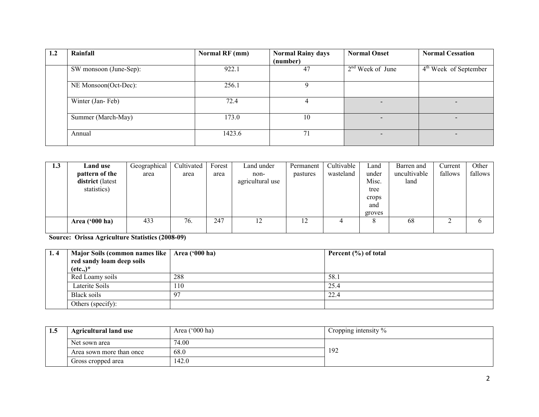| 1.2 | Rainfall               | Normal RF (mm) | <b>Normal Rainy days</b> | <b>Normal Onset</b>      | <b>Normal Cessation</b>  |
|-----|------------------------|----------------|--------------------------|--------------------------|--------------------------|
|     |                        |                | (number)                 |                          |                          |
|     | SW monsoon (June-Sep): | 922.1          | 47                       | $2nd$ Week of June       | $4th$ Week of September  |
|     | NE Monsoon(Oct-Dec):   | 256.1          |                          |                          |                          |
|     | Winter (Jan-Feb)       | 72.4           |                          |                          |                          |
|     | Summer (March-May)     | 173.0          | 10                       |                          |                          |
|     | Annual                 | 1423.6         | 71                       | $\overline{\phantom{0}}$ | $\overline{\phantom{0}}$ |

| 1.3 | <b>Land use</b>  | Geographical | Cultivated | Forest | Land under       | Permanent | Cultivable | Land   | Barren and   | Current | Other        |
|-----|------------------|--------------|------------|--------|------------------|-----------|------------|--------|--------------|---------|--------------|
|     | pattern of the   | area         | area       | area   | non-             | pastures  | wasteland  | under  | uncultivable | fallows | fallows      |
|     | district (latest |              |            |        | agricultural use |           |            | Misc.  | land         |         |              |
|     | statistics)      |              |            |        |                  |           |            | tree   |              |         |              |
|     |                  |              |            |        |                  |           |            | crops  |              |         |              |
|     |                  |              |            |        |                  |           |            | and    |              |         |              |
|     |                  |              |            |        |                  |           |            | groves |              |         |              |
|     | Area $('000 ha)$ | 433          | 76.        | 247    | 12               | 12        | 4          |        | 68           | ◠       | <sub>0</sub> |
|     |                  |              |            |        |                  |           |            |        |              |         |              |

Source: Orissa Agriculture Statistics (2008-09)

| 1.4 | Major Soils (common names like   Area ('000 ha) |     | Percent $(\% )$ of total |
|-----|-------------------------------------------------|-----|--------------------------|
|     | red sandy loam deep soils<br>$(\text{etc.})^*$  |     |                          |
|     | Red Loamy soils                                 | 288 | 58.1                     |
|     | Laterite Soils                                  | 110 | 25.4                     |
|     | Black soils                                     | -97 | 22.4                     |
|     | Others (specify):                               |     |                          |

| 1.5 | <b>Agricultural land use</b> | Area $('000 ha)$ | Cropping intensity $\%$ |  |
|-----|------------------------------|------------------|-------------------------|--|
|     | Net sown area                | 74.00            |                         |  |
|     | Area sown more than once     | 68.0             | 192                     |  |
|     | Gross cropped area           | 142.0            |                         |  |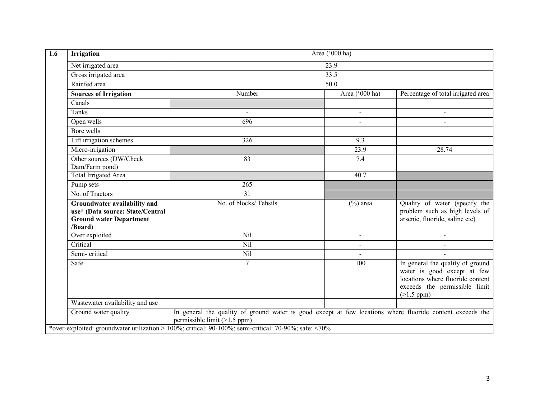| <b>Irrigation</b>                                                                                             |                                                                                                                                             | Area ('000 ha) |                                                                                                                                                         |  |  |  |
|---------------------------------------------------------------------------------------------------------------|---------------------------------------------------------------------------------------------------------------------------------------------|----------------|---------------------------------------------------------------------------------------------------------------------------------------------------------|--|--|--|
| Net irrigated area                                                                                            |                                                                                                                                             | 23.9           |                                                                                                                                                         |  |  |  |
| Gross irrigated area                                                                                          | 33.5                                                                                                                                        |                |                                                                                                                                                         |  |  |  |
| Rainfed area                                                                                                  | 50.0                                                                                                                                        |                |                                                                                                                                                         |  |  |  |
| <b>Sources of Irrigation</b>                                                                                  | Number                                                                                                                                      | Area ('000 ha) | Percentage of total irrigated area                                                                                                                      |  |  |  |
| Canals                                                                                                        |                                                                                                                                             |                |                                                                                                                                                         |  |  |  |
| Tanks                                                                                                         |                                                                                                                                             | $\overline{a}$ | $\overline{a}$                                                                                                                                          |  |  |  |
| Open wells                                                                                                    | 696                                                                                                                                         |                |                                                                                                                                                         |  |  |  |
| Bore wells                                                                                                    |                                                                                                                                             |                |                                                                                                                                                         |  |  |  |
| Lift irrigation schemes                                                                                       | 326                                                                                                                                         | 9.3            |                                                                                                                                                         |  |  |  |
| Micro-irrigation                                                                                              |                                                                                                                                             | 23.9           | 28.74                                                                                                                                                   |  |  |  |
| Other sources (DW/Check<br>Dam/Farm pond)                                                                     | 83                                                                                                                                          | 7.4            |                                                                                                                                                         |  |  |  |
| Total Irrigated Area                                                                                          |                                                                                                                                             | 40.7           |                                                                                                                                                         |  |  |  |
| Pump sets                                                                                                     | 265                                                                                                                                         |                |                                                                                                                                                         |  |  |  |
| No. of Tractors                                                                                               | 31                                                                                                                                          |                |                                                                                                                                                         |  |  |  |
| Groundwater availability and<br>use* (Data source: State/Central<br><b>Ground water Department</b><br>/Board) | No. of blocks/Tehsils                                                                                                                       | $(\% )$ area   | Quality of water (specify the<br>problem such as high levels of<br>arsenic, fluoride, saline etc)                                                       |  |  |  |
| Over exploited                                                                                                | Nil                                                                                                                                         | $\blacksquare$ | $\blacksquare$                                                                                                                                          |  |  |  |
| Critical                                                                                                      | Nil                                                                                                                                         | $\blacksquare$ | $\sim$                                                                                                                                                  |  |  |  |
| Semi-critical                                                                                                 | Nil                                                                                                                                         |                |                                                                                                                                                         |  |  |  |
| Safe                                                                                                          | $\overline{7}$                                                                                                                              | 100            | In general the quality of ground<br>water is good except at few<br>locations where fluoride content<br>exceeds the permissible limit<br>$(>1.5$ ppm $)$ |  |  |  |
| Wastewater availability and use                                                                               |                                                                                                                                             |                |                                                                                                                                                         |  |  |  |
| Ground water quality                                                                                          | In general the quality of ground water is good except at few locations where fluoride content exceeds the<br>permissible limit $(>1.5$ ppm) |                |                                                                                                                                                         |  |  |  |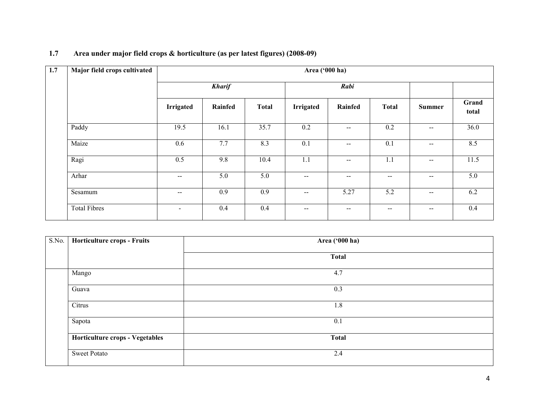| 1.7 | Major field crops cultivated | Area ('000 ha)           |         |              |                          |                                                |                          |                          |                |
|-----|------------------------------|--------------------------|---------|--------------|--------------------------|------------------------------------------------|--------------------------|--------------------------|----------------|
|     |                              | <b>Kharif</b>            |         |              | Rabi                     |                                                |                          |                          |                |
|     |                              | <b>Irrigated</b>         | Rainfed | <b>Total</b> | <b>Irrigated</b>         | Rainfed                                        | <b>Total</b>             | Summer                   | Grand<br>total |
|     | Paddy                        | 19.5                     | 16.1    | 35.7         | 0.2                      | $\hspace{0.1mm}-\hspace{0.1mm}-\hspace{0.1mm}$ | 0.2                      | $\sim$ $\sim$            | 36.0           |
|     | Maize                        | 0.6                      | 7.7     | 8.3          | 0.1                      | $\overline{\phantom{m}}$                       | 0.1                      | $\sim$ $\sim$            | 8.5            |
|     | Ragi                         | 0.5                      | 9.8     | 10.4         | 1.1                      | $\overline{\phantom{m}}$                       | 1.1                      | $\overline{\phantom{m}}$ | 11.5           |
|     | Arhar                        | $\overline{\phantom{m}}$ | 5.0     | 5.0          | $\overline{\phantom{m}}$ | $\overline{\phantom{m}}$                       | $\overline{\phantom{a}}$ | $\overline{\phantom{m}}$ | 5.0            |
|     | Sesamum                      | $\overline{\phantom{m}}$ | 0.9     | 0.9          | $\overline{\phantom{m}}$ | 5.27                                           | 5.2                      | $-\!$ $-$                | 6.2            |
|     | <b>Total Fibres</b>          | $\blacksquare$           | 0.4     | 0.4          | $\overline{\phantom{m}}$ | $\overline{\phantom{m}}$                       | $\hspace{0.05cm}$        | $\overline{\phantom{m}}$ | 0.4            |

## 1.7 Area under major field crops & horticulture (as per latest figures) (2008-09)

| $\overline{\text{S.N}}$ o. | Horticulture crops - Fruits     | Area ('000 ha) |
|----------------------------|---------------------------------|----------------|
|                            |                                 | <b>Total</b>   |
|                            | Mango                           | 4.7            |
|                            | Guava                           | 0.3            |
|                            | Citrus                          | 1.8            |
|                            | Sapota                          | 0.1            |
|                            | Horticulture crops - Vegetables | <b>Total</b>   |
|                            | <b>Sweet Potato</b>             | 2.4            |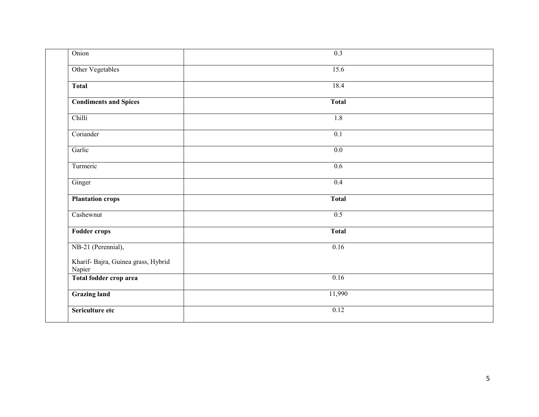| Onion                                         | 0.3              |  |
|-----------------------------------------------|------------------|--|
| Other Vegetables                              | 15.6             |  |
| <b>Total</b>                                  | 18.4             |  |
| <b>Condiments and Spices</b>                  | <b>Total</b>     |  |
| Chilli                                        | 1.8              |  |
| Coriander                                     | $\overline{0.1}$ |  |
| Garlic                                        | 0.0              |  |
| Turmeric                                      | 0.6              |  |
| Ginger                                        | 0.4              |  |
| <b>Plantation crops</b>                       | <b>Total</b>     |  |
| Cashewnut                                     | 0.5              |  |
| <b>Fodder crops</b>                           | <b>Total</b>     |  |
| NB-21 (Perennial),                            | 0.16             |  |
| Kharif- Bajra, Guinea grass, Hybrid<br>Napier |                  |  |
| Total fodder crop area                        | 0.16             |  |
| <b>Grazing land</b>                           | 11,990           |  |
| Sericulture etc                               | 0.12             |  |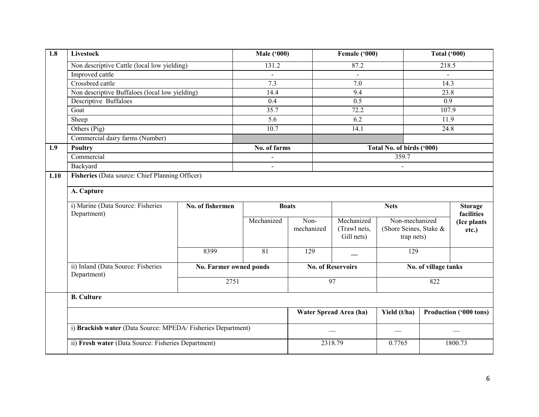| $\overline{1.8}$ | Livestock                                                    |                        | <b>Male ('000)</b> |                          | Female ('000)          |                           | <b>Total ('000)</b>  |                              |
|------------------|--------------------------------------------------------------|------------------------|--------------------|--------------------------|------------------------|---------------------------|----------------------|------------------------------|
|                  | Non descriptive Cattle (local low yielding)                  |                        | 131.2              |                          | 87.2                   |                           | 218.5                |                              |
|                  | Improved cattle                                              |                        | $\overline{a}$     |                          | $\mathbf{r}$           |                           | $\blacksquare$       |                              |
|                  | Crossbred cattle                                             |                        | 7.3                |                          | $\overline{7.0}$       |                           | 14.3                 |                              |
|                  | Non descriptive Buffaloes (local low yielding)               |                        | 14.4               |                          | 9.4                    |                           | 23.8                 |                              |
|                  | <b>Descriptive Buffaloes</b>                                 |                        | 0.4                |                          | 0.5                    |                           | 0.9                  |                              |
|                  | Goat                                                         |                        | 35.7               |                          | 72.2                   |                           | 107.9                |                              |
|                  | Sheep<br>Others (Pig)                                        |                        | 5.6                |                          | 6.2                    |                           | 11.9                 |                              |
|                  |                                                              |                        | 10.7               |                          | 14.1                   |                           | 24.8                 |                              |
|                  | Commercial dairy farms (Number)                              |                        |                    |                          |                        |                           |                      |                              |
| 1.9              | <b>Poultry</b>                                               |                        | No. of farms       |                          |                        | Total No. of birds ('000) |                      |                              |
|                  | Commercial                                                   |                        |                    |                          |                        | 359.7                     |                      |                              |
|                  | Backyard                                                     |                        | $\blacksquare$     |                          |                        |                           |                      |                              |
| 1.10             | Fisheries (Data source: Chief Planning Officer)              |                        |                    |                          |                        |                           |                      |                              |
|                  |                                                              |                        |                    |                          |                        |                           |                      |                              |
|                  | A. Capture                                                   |                        |                    |                          |                        |                           |                      |                              |
|                  | i) Marine (Data Source: Fisheries<br>Department)             | No. of fishermen       | <b>Boats</b>       |                          | <b>Nets</b>            |                           |                      | <b>Storage</b><br>facilities |
|                  |                                                              |                        | Mechanized         | Non-                     | Mechanized             | Non-mechanized            |                      | (Ice plants                  |
|                  |                                                              |                        |                    |                          |                        |                           |                      |                              |
|                  |                                                              |                        |                    | mechanized               | (Trawl nets,           | (Shore Seines, Stake &    |                      | etc.)                        |
|                  |                                                              |                        |                    |                          | Gill nets)             | trap nets)                |                      |                              |
|                  |                                                              |                        |                    |                          |                        |                           |                      |                              |
|                  |                                                              | 8399                   | 81                 | 129                      |                        | 129                       |                      |                              |
|                  | ii) Inland (Data Source: Fisheries                           | No. Farmer owned ponds |                    | <b>No. of Reservoirs</b> |                        |                           | No. of village tanks |                              |
|                  | Department)                                                  | 2751                   |                    |                          | $\overline{97}$        |                           | 822                  |                              |
|                  | <b>B.</b> Culture                                            |                        |                    |                          |                        |                           |                      |                              |
|                  |                                                              |                        |                    |                          | Water Spread Area (ha) | Yield (t/ha)              |                      | Production ('000 tons)       |
|                  | i) Brackish water (Data Source: MPEDA/ Fisheries Department) |                        |                    |                          |                        |                           |                      |                              |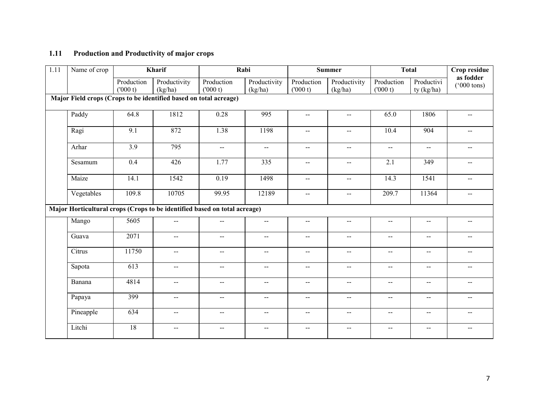### 1.11 Production and Productivity of major crops

| $\overline{1.11}$ | Name of crop                                                              |                       | Kharif                   |                           | Rabi                     |                             | <b>Summer</b>               |                                               | <b>Total</b>                                  | Crop residue                      |
|-------------------|---------------------------------------------------------------------------|-----------------------|--------------------------|---------------------------|--------------------------|-----------------------------|-----------------------------|-----------------------------------------------|-----------------------------------------------|-----------------------------------|
|                   |                                                                           | Production<br>(000 t) | Productivity<br>(kg/ha)  | Production<br>(000 t)     | Productivity<br>(kg/ha)  | Production<br>(000 t)       | Productivity<br>(kg/ha)     | Production<br>(000 t)                         | Productivi<br>ty (kg/ha)                      | as fodder<br>$(000 \text{ tons})$ |
|                   | Major Field crops (Crops to be identified based on total acreage)         |                       |                          |                           |                          |                             |                             |                                               |                                               |                                   |
|                   | Paddy                                                                     | 64.8                  | 1812                     | 0.28                      | 995                      | $\overline{a}$              | $\mathbf{u}$                | 65.0                                          | 1806                                          | $\overline{a}$                    |
|                   | Ragi                                                                      | 9.1                   | 872                      | 1.38                      | 1198                     | $\mathcal{L}_{\mathcal{F}}$ | $\mathcal{L}_{\mathcal{F}}$ | 10.4                                          | 904                                           | $\mathcal{L}_{\mathcal{F}}$       |
|                   | Arhar                                                                     | 3.9                   | 795                      | $\mathbf{u} = \mathbf{v}$ | $\overline{\phantom{a}}$ | $\overline{\phantom{a}}$    | $\sim$ $\sim$               | $\overline{\phantom{a}}$                      | $\overline{\phantom{a}}$                      | $\sim$                            |
|                   | Sesamum                                                                   | 0.4                   | 426                      | 1.77                      | 335                      | --                          | $\mathbf{u}$                | 2.1                                           | 349                                           |                                   |
|                   | Maize                                                                     | 14.1                  | 1542                     | 0.19                      | 1498                     | $\sim$ $-$                  | $\sim$                      | 14.3                                          | 1541                                          | --                                |
|                   | Vegetables                                                                | 109.8                 | 10705                    | 99.95                     | 12189                    | $\mathcal{L} = \mathcal{L}$ | $\overline{\phantom{a}}$    | 209.7                                         | 11364                                         | --                                |
|                   | Major Horticultural crops (Crops to be identified based on total acreage) |                       |                          |                           |                          |                             |                             |                                               |                                               |                                   |
|                   | Mango                                                                     | 5605                  | --                       | $--$                      | $\overline{\phantom{a}}$ | $\overline{\phantom{a}}$    | $-$                         | $\mathord{\hspace{1pt}\text{--}\hspace{1pt}}$ | $\mathord{\hspace{1pt}\text{--}\hspace{1pt}}$ |                                   |
|                   | Guava                                                                     | 2071                  | $\overline{a}$           | $\sim$ $\sim$             | $-$                      | $-$                         | $\sim$                      | $\overline{\phantom{a}}$                      | $\overline{\phantom{a}}$                      |                                   |
|                   | Citrus                                                                    | 11750                 | --                       | $\mathbf{--}$             | $\sim$                   | $\mathcal{L} = \mathcal{L}$ | $\sim$ $-$                  | $\sim$                                        | $\mathord{\hspace{1pt}\text{--}\hspace{1pt}}$ | $\qquad \qquad \blacksquare$      |
|                   | Sapota                                                                    | 613                   | $\overline{\phantom{a}}$ | $\mathbf{u}$              | $\sim$                   | $\sim$ $-$                  | $\sim$                      | $\sim$                                        | $\sim$                                        | --                                |
|                   | Banana                                                                    | 4814                  | $\overline{a}$           | $\overline{a}$            | $\overline{a}$           | $- -$                       | $\overline{a}$              | $\mathcal{L}_{\mathcal{F}}$                   | $\sim$                                        | $-$                               |
|                   | Papaya                                                                    | 399                   | --                       | $-$                       | $\overline{a}$           | --                          | $\overline{a}$              | $\sim$ $\sim$                                 | $\mathcal{L}_{\mathcal{L}}$                   | --                                |
|                   | Pineapple                                                                 | 634                   | $-$                      | $\sim$ $\sim$             | $\overline{a}$           | $\sim$                      | $\sim$ $\sim$               | $\sim$                                        | $\overline{\phantom{a}}$                      | $\overline{a}$                    |
|                   | Litchi                                                                    | 18                    | $- -$                    | $\overline{\phantom{a}}$  | $\sim$ $\sim$            | $\overline{\phantom{a}}$    | $\sim$ $\sim$               | $\overline{\phantom{m}}$                      | --                                            | $-$                               |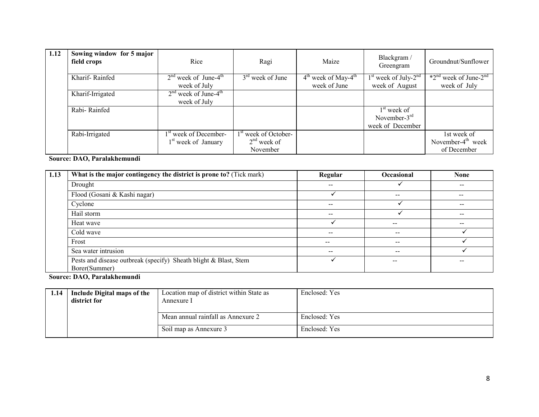| 1.12 | Sowing window for 5 major<br>field crops | Rice                                                                 | Ragi                                                          | Maize                                    | Blackgram/<br>Greengram                              | Groundnut/Sunflower                                 |
|------|------------------------------------------|----------------------------------------------------------------------|---------------------------------------------------------------|------------------------------------------|------------------------------------------------------|-----------------------------------------------------|
|      | Kharif-Rainfed                           | $2nd$ week of June-4 <sup>th</sup><br>week of July                   | $3rd$ week of June                                            | $4th$ week of May- $4th$<br>week of June | $1st$ week of July- $2nd$<br>week of August          | $*2nd$ week of June-2 <sup>nd</sup><br>week of July |
|      | Kharif-Irrigated                         | $2nd$ week of June-4 <sup>th</sup><br>week of July                   |                                                               |                                          |                                                      |                                                     |
|      | Rabi-Rainfed                             |                                                                      |                                                               |                                          | $1st$ week of<br>November- $3rd$<br>week of December |                                                     |
|      | Rabi-Irrigated                           | 1 <sup>st</sup> week of December-<br>1 <sup>st</sup> week of January | 1 <sup>st</sup> week of October-<br>$2nd$ week of<br>November |                                          |                                                      | 1st week of<br>November- $4th$ week<br>of December  |

### Source: DAO, Paralakhemundi

| 1.13 | What is the major contingency the district is prone to? (Tick mark)               | Regular                  | Occasional    | <b>None</b>                                    |
|------|-----------------------------------------------------------------------------------|--------------------------|---------------|------------------------------------------------|
|      | Drought                                                                           | $- -$                    |               | $\hspace{0.1mm}-\hspace{0.1mm}-\hspace{0.1mm}$ |
|      | Flood (Gosani & Kashi nagar)                                                      |                          | $- -$         | --                                             |
|      | Cyclone                                                                           | $- -$                    |               | $\hspace{0.1mm}-\hspace{0.1mm}-\hspace{0.1mm}$ |
|      | Hail storm                                                                        | $- -$                    |               | $\sim$ $\sim$                                  |
|      | Heat wave                                                                         |                          | $\sim$ $\sim$ | $- -$                                          |
|      | Cold wave                                                                         | $- -$                    | $-$           |                                                |
|      | Frost                                                                             | --                       | $- -$         |                                                |
|      | Sea water intrusion                                                               | $\overline{\phantom{m}}$ | $- -$         |                                                |
|      | Pests and disease outbreak (specify) Sheath blight & Blast, Stem<br>Borer(Summer) |                          | $- -$         | $- -$                                          |

Source: DAO, Paralakhemundi

| 1.14 | Include Digital maps of the | Location map of district within State as | Enclosed: Yes |
|------|-----------------------------|------------------------------------------|---------------|
|      | district for                | Annexure I                               |               |
|      |                             |                                          |               |
|      |                             | Mean annual rainfall as Annexure 2       | Enclosed: Yes |
|      |                             |                                          |               |
|      |                             | Soil map as Annexure 3                   | Enclosed: Yes |
|      |                             |                                          |               |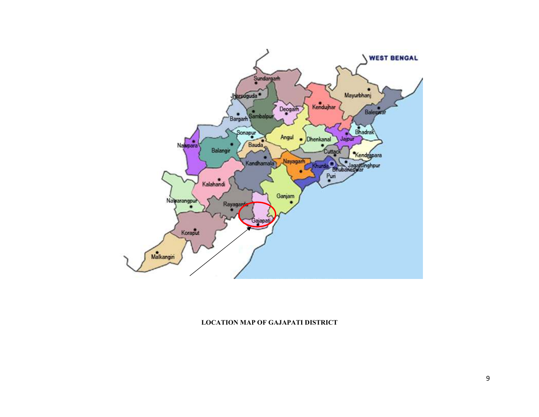

#### LOCATION MAP OF GAJAPATI DISTRICT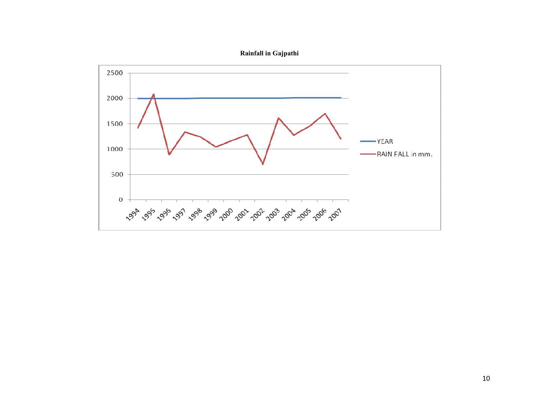

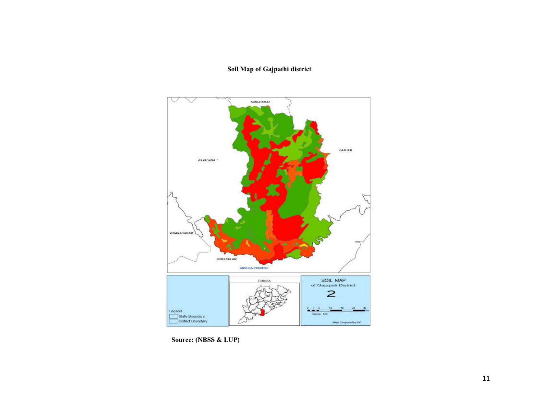#### Soil Map of Gajpathi district



Source: (NBSS & LUP)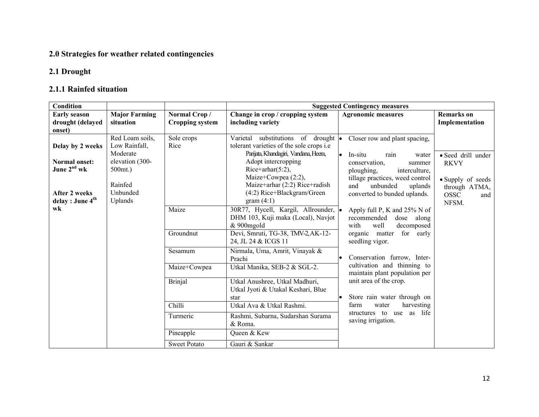## 2.0 Strategies for weather related contingencies

## 2.1 Drought

# 2.1.1 Rainfed situation

| Condition                    |                      |                        |                                                 | <b>Suggested Contingency measures</b>                   |                    |
|------------------------------|----------------------|------------------------|-------------------------------------------------|---------------------------------------------------------|--------------------|
| <b>Early season</b>          | <b>Major Farming</b> | Normal Crop/           | Change in crop / cropping system                | <b>Agronomic measures</b>                               | <b>Remarks</b> on  |
| drought (delayed             | situation            | <b>Cropping system</b> | including variety                               |                                                         | Implementation     |
| onset)                       |                      |                        |                                                 |                                                         |                    |
|                              | Red Loam soils,      | Sole crops             | Varietal substitutions of drought •             | Closer row and plant spacing,                           |                    |
| Delay by 2 weeks             | Low Rainfall,        | Rice                   | tolerant varieties of the sole crops <i>i.e</i> |                                                         |                    |
|                              | Moderate             |                        | Parijata, Khandagiri, Vandana, Heera,           | l.<br>In-situ<br>rain<br>water                          | • Seed drill under |
| <b>Normal onset:</b>         | elevation (300-      |                        | Adopt intercropping                             | conservation,<br>summer                                 | <b>RKVY</b>        |
| June 2 <sup>nd</sup> wk      | 500mt.)              |                        | Rice+arhar $(5:2)$ ,                            | ploughing,<br>interculture,                             |                    |
|                              |                      |                        | Maize+Cowpea $(2:2)$ ,                          | tillage practices, weed control                         | • Supply of seeds  |
|                              | Rainfed              |                        | Maize+arhar (2:2) Rice+radish                   | unbunded<br>and<br>uplands                              | through ATMA,      |
| <b>After 2 weeks</b>         | Unbunded             |                        | $(4:2)$ Rice+Blackgram/Green                    | converted to bunded uplands.                            | <b>OSSC</b><br>and |
| delay : June 4 <sup>th</sup> | Uplands              |                        | gram $(4:1)$                                    |                                                         | NFSM.              |
| wk                           |                      | Maize                  | 30R77, Hycell, Kargil, Allrounder, •            | Apply full P, K and 25% N of                            |                    |
|                              |                      |                        | DHM 103, Kuji maka (Local), Navjot              | recommended<br>dose along                               |                    |
|                              |                      |                        | & 900mgold                                      | with<br>well<br>decomposed                              |                    |
|                              |                      | Groundnut              | Devi, Smruti, TG-38, TMV-2, AK-12-              | organic matter<br>for early                             |                    |
|                              |                      |                        | 24, JL 24 & ICGS 11                             | seedling vigor.                                         |                    |
|                              |                      | Sesamum                | Nirmala, Uma, Amrit, Vinayak &                  |                                                         |                    |
|                              |                      |                        | Prachi                                          | Conservation furrow, Inter-                             |                    |
|                              |                      | Maize+Cowpea           | Utkal Manika, SEB-2 & SGL-2.                    | cultivation and thinning to                             |                    |
|                              |                      |                        |                                                 | maintain plant population per<br>unit area of the crop. |                    |
|                              |                      | <b>Brinjal</b>         | Utkal Anushree, Utkal Madhuri,                  |                                                         |                    |
|                              |                      |                        | Utkal Jyoti & Utakal Keshari, Blue              | Store rain water through on<br>lo                       |                    |
|                              |                      | Chilli                 | star<br>Utkal Ava & Utkal Rashmi.               | farm<br>harvesting<br>water                             |                    |
|                              |                      |                        |                                                 | as life<br>structures to use                            |                    |
|                              |                      | Turmeric               | Rashmi, Subarna, Sudarshan Surama               | saving irrigation.                                      |                    |
|                              |                      |                        | & Roma.                                         |                                                         |                    |
|                              |                      | Pineapple              | Queen & Kew                                     |                                                         |                    |
|                              |                      | <b>Sweet Potato</b>    | Gauri & Sankar                                  |                                                         |                    |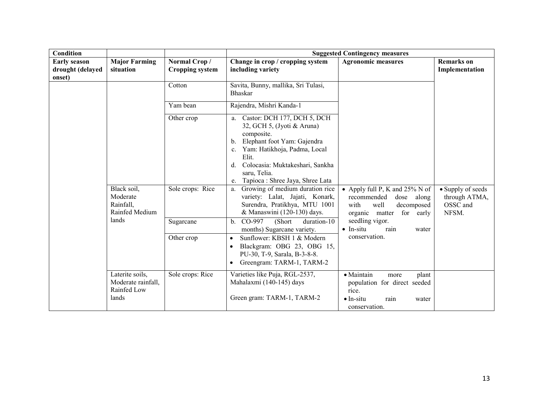| <b>Condition</b>                                  |                                                               |                                        |                                                                                                                                                                                                                                                                                        | <b>Suggested Contingency measures</b>                                                                                               |                                                         |
|---------------------------------------------------|---------------------------------------------------------------|----------------------------------------|----------------------------------------------------------------------------------------------------------------------------------------------------------------------------------------------------------------------------------------------------------------------------------------|-------------------------------------------------------------------------------------------------------------------------------------|---------------------------------------------------------|
| <b>Early season</b><br>drought (delayed<br>onset) | <b>Major Farming</b><br>situation                             | Normal Crop/<br><b>Cropping system</b> | Change in crop / cropping system<br>including variety                                                                                                                                                                                                                                  | <b>Agronomic measures</b>                                                                                                           | <b>Remarks</b> on<br>Implementation                     |
|                                                   |                                                               | Cotton                                 | Savita, Bunny, mallika, Sri Tulasi,<br><b>Bhaskar</b>                                                                                                                                                                                                                                  |                                                                                                                                     |                                                         |
|                                                   |                                                               | Yam bean                               | Rajendra, Mishri Kanda-1                                                                                                                                                                                                                                                               |                                                                                                                                     |                                                         |
|                                                   |                                                               | Other crop                             | a. Castor: DCH 177, DCH 5, DCH<br>32, GCH 5, (Jyoti & Aruna)<br>composite.<br>Elephant foot Yam: Gajendra<br>b.<br>Yam: Hatikhoja, Padma, Local<br>$\mathbf{c}$ .<br>Elit.<br>Colocasia: Muktakeshari, Sankha<br>$d_{\cdot}$<br>saru, Telia.<br>Tapioca : Shree Jaya, Shree Lata<br>e. |                                                                                                                                     |                                                         |
|                                                   | Black soil,<br>Moderate<br>Rainfall,<br>Rainfed Medium        | Sole crops: Rice                       | Growing of medium duration rice<br>a.<br>variety: Lalat, Jajati, Konark,<br>Surendra, Pratikhya, MTU 1001<br>& Manaswini (120-130) days.                                                                                                                                               | • Apply full P, K and $25\%$ N of<br>recommended<br>dose along<br>well<br>with<br>decomposed<br>organic matter<br>for early         | • Supply of seeds<br>through ATMA,<br>OSSC and<br>NFSM. |
|                                                   | lands                                                         | Sugarcane                              | (Short)<br>CO-997<br>duration-10<br>$b_{-}$<br>months) Sugarcane variety.                                                                                                                                                                                                              | seedling vigor.<br>$\bullet$ In-situ<br>rain<br>water                                                                               |                                                         |
|                                                   |                                                               | Other crop                             | Sunflower: KBSH 1 & Modern<br>$\bullet$<br>Blackgram: OBG 23, OBG 15,<br>$\bullet$<br>PU-30, T-9, Sarala, B-3-8-8.<br>Greengram: TARM-1, TARM-2<br>$\bullet$                                                                                                                           | conservation.                                                                                                                       |                                                         |
|                                                   | Laterite soils,<br>Moderate rainfall,<br>Rainfed Low<br>lands | Sole crops: Rice                       | Varieties like Puja, RGL-2537,<br>Mahalaxmi (140-145) days<br>Green gram: TARM-1, TARM-2                                                                                                                                                                                               | $\bullet$ Maintain<br>plant<br>more<br>population for direct seeded<br>rice.<br>$\bullet$ In-situ<br>rain<br>water<br>conservation. |                                                         |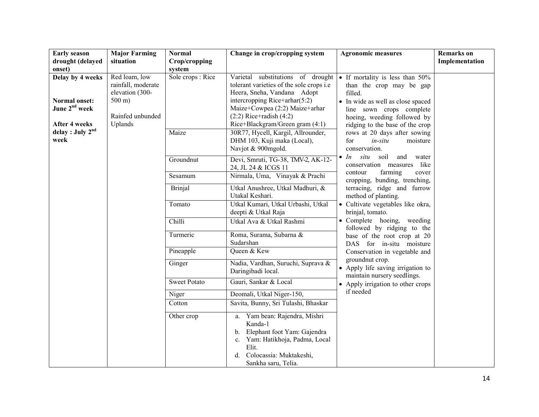| <b>Early season</b>                      | <b>Major Farming</b>                                                        | <b>Normal</b>       | Change in crop/cropping system                                                                                                                                                    | <b>Agronomic measures</b>                                                                                   | <b>Remarks</b> on |
|------------------------------------------|-----------------------------------------------------------------------------|---------------------|-----------------------------------------------------------------------------------------------------------------------------------------------------------------------------------|-------------------------------------------------------------------------------------------------------------|-------------------|
| drought (delayed                         | situation                                                                   | Crop/cropping       |                                                                                                                                                                                   |                                                                                                             | Implementation    |
| onset)                                   |                                                                             | system              |                                                                                                                                                                                   |                                                                                                             |                   |
| Delay by 4 weeks<br><b>Normal onset:</b> | Red loam, low<br>rainfall, moderate<br>elevation (300-<br>$500 \text{ m}$ ) | Sole crops : Rice   | Varietal substitutions of drought<br>tolerant varieties of the sole crops <i>i.e</i><br>Heera, Sneha, Vandana Adopt<br>intercropping Rice+arhar $(5:2)$                           | • If mortality is less than 50%<br>than the crop may be gap<br>filled.<br>• In wide as well as close spaced |                   |
| June 2 <sup>nd</sup> week                | Rainfed unbunded                                                            |                     | Maize+Cowpea (2:2) Maize+arhar<br>$(2:2)$ Rice+radish $(4:2)$                                                                                                                     | line sown crops complete<br>hoeing, weeding followed by                                                     |                   |
| After 4 weeks                            | Uplands                                                                     |                     | Rice+Blackgram/Green gram (4:1)                                                                                                                                                   | ridging to the base of the crop                                                                             |                   |
| delay : July 2 <sup>nd</sup><br>week     |                                                                             | Maize               | 30R77, Hycell, Kargil, Allrounder,<br>DHM 103, Kuji maka (Local),<br>Navjot & 900mgold.                                                                                           | rows at 20 days after sowing<br>for<br>moisture<br>in-situ<br>conservation.                                 |                   |
|                                          |                                                                             | Groundnut           | Devi, Smruti, TG-38, TMV-2, AK-12-<br>24, JL 24 & ICGS 11                                                                                                                         | $\bullet$ <i>In situ</i> soil<br>and<br>water<br>conservation measures like                                 |                   |
|                                          |                                                                             | Sesamum             | Nirmala, Uma, Vinayak & Prachi                                                                                                                                                    | farming<br>contour<br>cover<br>cropping, bunding, trenching,                                                |                   |
|                                          |                                                                             | <b>Brinjal</b>      | Utkal Anushree, Utkal Madhuri, &<br>Utakal Keshari.                                                                                                                               | terracing, ridge and furrow<br>method of planting.                                                          |                   |
|                                          |                                                                             | Tomato              | Utkal Kumari, Utkal Urbashi, Utkal<br>deepti & Utkal Raja                                                                                                                         | • Cultivate vegetables like okra,<br>brinjal, tomato.                                                       |                   |
|                                          |                                                                             | Chilli              | Utkal Ava & Utkal Rashmi                                                                                                                                                          | • Complete hoeing, weeding<br>followed by ridging to the                                                    |                   |
|                                          |                                                                             | Turmeric            | Roma, Surama, Subarna &<br>Sudarshan                                                                                                                                              | base of the root crop at 20<br>DAS for in-situ moisture                                                     |                   |
|                                          |                                                                             | Pineapple           | Queen & Kew                                                                                                                                                                       | Conservation in vegetable and                                                                               |                   |
|                                          |                                                                             | Ginger              | Nadia, Vardhan, Suruchi, Suprava &<br>Daringibadi local.                                                                                                                          | groundnut crop.<br>• Apply life saving irrigation to<br>maintain nursery seedlings.                         |                   |
|                                          |                                                                             | <b>Sweet Potato</b> | Gauri, Sankar & Local                                                                                                                                                             | • Apply irrigation to other crops                                                                           |                   |
|                                          |                                                                             | Niger               | Deomali, Utkal Niger-150,                                                                                                                                                         | if needed                                                                                                   |                   |
|                                          |                                                                             | Cotton              | Savita, Bunny, Sri Tulashi, Bhaskar                                                                                                                                               |                                                                                                             |                   |
|                                          |                                                                             | Other crop          | Yam bean: Rajendra, Mishri<br>a.<br>Kanda-1<br>b. Elephant foot Yam: Gajendra<br>c. Yam: Hatikhoja, Padma, Local<br>Elit.<br>Colocassia: Muktakeshi,<br>d.<br>Sankha saru, Telia. |                                                                                                             |                   |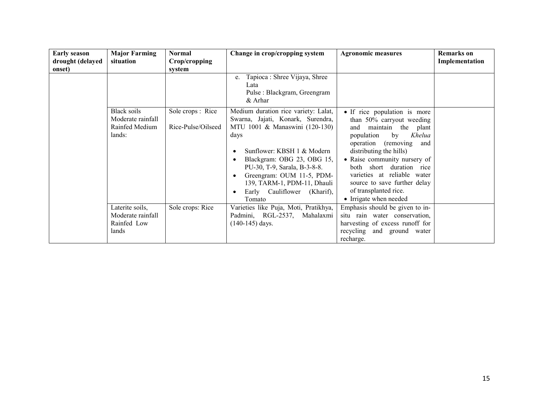| <b>Early season</b><br>drought (delayed | <b>Major Farming</b><br>situation                            | <b>Normal</b><br>Crop/cropping          | Change in crop/cropping system                                                                                                                                                                                                                                                                                       | <b>Agronomic measures</b>                                                                                                                                                                                                                                                                                                                                   | <b>Remarks</b> on<br>Implementation |
|-----------------------------------------|--------------------------------------------------------------|-----------------------------------------|----------------------------------------------------------------------------------------------------------------------------------------------------------------------------------------------------------------------------------------------------------------------------------------------------------------------|-------------------------------------------------------------------------------------------------------------------------------------------------------------------------------------------------------------------------------------------------------------------------------------------------------------------------------------------------------------|-------------------------------------|
| onset)                                  |                                                              | system                                  | Tapioca : Shree Vijaya, Shree<br>e.<br>Lata<br>Pulse : Blackgram, Greengram<br>& Arhar                                                                                                                                                                                                                               |                                                                                                                                                                                                                                                                                                                                                             |                                     |
|                                         | Black soils<br>Moderate rainfall<br>Rainfed Medium<br>lands: | Sole crops : Rice<br>Rice-Pulse/Oilseed | Medium duration rice variety: Lalat,<br>Swarna, Jajati, Konark, Surendra,<br>MTU 1001 & Manaswini (120-130)<br>days<br>Sunflower: KBSH 1 & Modern<br>Blackgram: OBG 23, OBG 15,<br>PU-30, T-9, Sarala, B-3-8-8.<br>Greengram: OUM 11-5, PDM-<br>139, TARM-1, PDM-11, Dhauli<br>Early Cauliflower (Kharif),<br>Tomato | • If rice population is more<br>than 50% carryout weeding<br>maintain the plant<br>and<br>Khelua<br>population<br>by<br>operation (removing<br>and<br>distributing the hills)<br>• Raise community nursery of<br>both short duration rice<br>varieties at reliable water<br>source to save further delay<br>of transplanted rice.<br>• Irrigate when needed |                                     |
|                                         | Laterite soils,<br>Moderate rainfall<br>Rainfed Low<br>lands | Sole crops: Rice                        | Varieties like Puja, Moti, Pratikhya,<br>Padmini, RGL-2537, Mahalaxmi<br>(140-145) days.                                                                                                                                                                                                                             | Emphasis should be given to in-<br>situ rain water conservation,<br>harvesting of excess runoff for<br>recycling and ground water<br>recharge.                                                                                                                                                                                                              |                                     |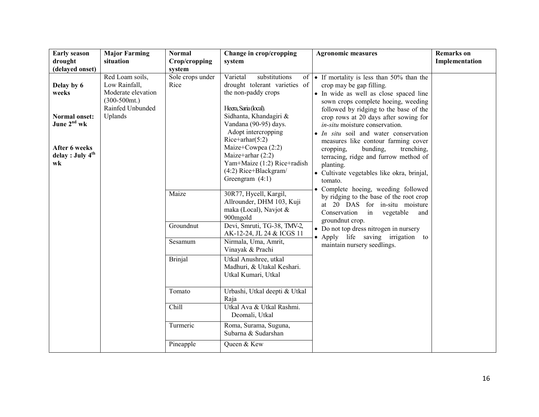| <b>Early season</b>                                 | <b>Major Farming</b>                                                                           | <b>Normal</b>            | Change in crop/cropping                                                                                                | <b>Agronomic measures</b>                                                                                                                                                                                  | <b>Remarks</b> on |
|-----------------------------------------------------|------------------------------------------------------------------------------------------------|--------------------------|------------------------------------------------------------------------------------------------------------------------|------------------------------------------------------------------------------------------------------------------------------------------------------------------------------------------------------------|-------------------|
| drought                                             | situation                                                                                      | Crop/cropping            | system                                                                                                                 |                                                                                                                                                                                                            | Implementation    |
| (delayed onset)                                     |                                                                                                | system                   |                                                                                                                        |                                                                                                                                                                                                            |                   |
| Delay by 6<br>weeks                                 | Red Loam soils,<br>Low Rainfall,<br>Moderate elevation<br>$(300-500)$ mt.)<br>Rainfed Unbunded | Sole crops under<br>Rice | Varietal<br>substitutions<br>drought tolerant varieties of<br>the non-paddy crops<br>Heera, Saria (local).             | of $\bullet$ If mortality is less than 50% than the<br>crop may be gap filling.<br>• In wide as well as close spaced line<br>sown crops complete hoeing, weeding<br>followed by ridging to the base of the |                   |
| Normal onset:<br>June 2 <sup>nd</sup> wk            | Uplands                                                                                        |                          | Sidhanta, Khandagiri &<br>Vandana (90-95) days.<br>Adopt intercropping<br>$Rice+arhar(5:2)$                            | crop rows at 20 days after sowing for<br>in-situ moisture conservation.<br>• <i>In situ</i> soil and water conservation<br>measures like contour farming cover                                             |                   |
| After 6 weeks<br>delay : July 4 <sup>th</sup><br>wk |                                                                                                |                          | Maize+Cowpea (2:2)<br>Maize+arhar $(2:2)$<br>Yam+Maize (1:2) Rice+radish<br>(4:2) Rice+Blackgram/<br>Greengram $(4:1)$ | cropping.<br>bunding,<br>trenching,<br>terracing, ridge and furrow method of<br>planting.<br>• Cultivate vegetables like okra, brinjal,<br>tomato.<br>· Complete hoeing, weeding followed                  |                   |
|                                                     |                                                                                                | Maize                    | 30R77, Hycell, Kargil,<br>Allrounder, DHM 103, Kuji<br>maka (Local), Navjot &<br>900mgold                              | by ridging to the base of the root crop<br>at 20 DAS for in-situ moisture<br>Conservation<br>vegetable<br>in<br>and<br>groundnut crop.                                                                     |                   |
|                                                     |                                                                                                | Groundnut                | Devi, Smruti, TG-38, TMV-2,<br>AK-12-24, JL 24 & ICGS 11                                                               | • Do not top dress nitrogen in nursery                                                                                                                                                                     |                   |
|                                                     |                                                                                                | Sesamum                  | Nirmala, Uma, Amrit,<br>Vinayak & Prachi                                                                               | • Apply life saving irrigation to<br>maintain nursery seedlings.                                                                                                                                           |                   |
|                                                     |                                                                                                | <b>Brinjal</b>           | Utkal Anushree, utkal<br>Madhuri, & Utakal Keshari.<br>Utkal Kumari, Utkal                                             |                                                                                                                                                                                                            |                   |
|                                                     |                                                                                                | Tomato                   | Urbashi, Utkal deepti & Utkal<br>Raja                                                                                  |                                                                                                                                                                                                            |                   |
|                                                     |                                                                                                | Chill                    | Utkal Ava & Utkal Rashmi.<br>Deomali, Utkal                                                                            |                                                                                                                                                                                                            |                   |
|                                                     |                                                                                                | Turmeric                 | Roma, Surama, Suguna,<br>Subarna & Sudarshan                                                                           |                                                                                                                                                                                                            |                   |
|                                                     |                                                                                                | Pineapple                | Queen & Kew                                                                                                            |                                                                                                                                                                                                            |                   |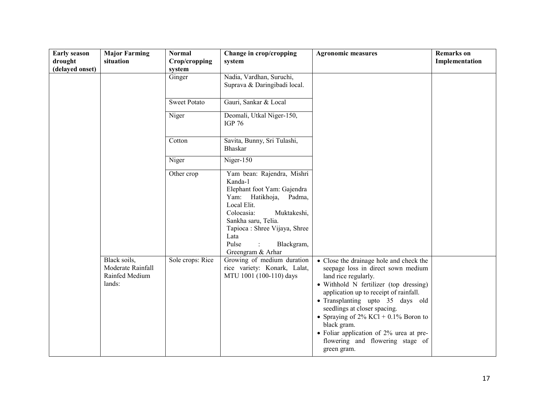| <b>Early season</b><br>drought<br>(delayed onset) | <b>Major Farming</b><br>situation                             | <b>Normal</b><br>Crop/cropping<br>system | Change in crop/cropping<br>system                                                                                                                                                                                                                            | <b>Agronomic measures</b>                                                                                                                                                                                                                                                                                                                                                                                             | <b>Remarks</b> on<br>Implementation |
|---------------------------------------------------|---------------------------------------------------------------|------------------------------------------|--------------------------------------------------------------------------------------------------------------------------------------------------------------------------------------------------------------------------------------------------------------|-----------------------------------------------------------------------------------------------------------------------------------------------------------------------------------------------------------------------------------------------------------------------------------------------------------------------------------------------------------------------------------------------------------------------|-------------------------------------|
|                                                   |                                                               | Ginger                                   | Nadia, Vardhan, Suruchi,<br>Suprava & Daringibadi local.                                                                                                                                                                                                     |                                                                                                                                                                                                                                                                                                                                                                                                                       |                                     |
|                                                   |                                                               | <b>Sweet Potato</b>                      | Gauri, Sankar & Local                                                                                                                                                                                                                                        |                                                                                                                                                                                                                                                                                                                                                                                                                       |                                     |
|                                                   |                                                               | Niger                                    | Deomali, Utkal Niger-150,<br><b>IGP 76</b>                                                                                                                                                                                                                   |                                                                                                                                                                                                                                                                                                                                                                                                                       |                                     |
|                                                   |                                                               | Cotton                                   | Savita, Bunny, Sri Tulashi,<br><b>Bhaskar</b>                                                                                                                                                                                                                |                                                                                                                                                                                                                                                                                                                                                                                                                       |                                     |
|                                                   |                                                               | Niger                                    | Niger-150                                                                                                                                                                                                                                                    |                                                                                                                                                                                                                                                                                                                                                                                                                       |                                     |
|                                                   |                                                               | Other crop                               | Yam bean: Rajendra, Mishri<br>Kanda-1<br>Elephant foot Yam: Gajendra<br>Yam:<br>Hatikhoja,<br>Padma,<br>Local Elit.<br>Colocasia:<br>Muktakeshi,<br>Sankha saru, Telia.<br>Tapioca : Shree Vijaya, Shree<br>Lata<br>Pulse<br>Blackgram,<br>Greengram & Arhar |                                                                                                                                                                                                                                                                                                                                                                                                                       |                                     |
|                                                   | Black soils,<br>Moderate Rainfall<br>Rainfed Medium<br>lands: | Sole crops: Rice                         | Growing of medium duration<br>rice variety: Konark, Lalat,<br>MTU 1001 (100-110) days                                                                                                                                                                        | • Close the drainage hole and check the<br>seepage loss in direct sown medium<br>land rice regularly.<br>· Withhold N fertilizer (top dressing)<br>application up to receipt of rainfall.<br>• Transplanting upto 35 days old<br>seedlings at closer spacing.<br>• Spraying of $2\%$ KCl + 0.1% Boron to<br>black gram.<br>• Foliar application of 2% urea at pre-<br>flowering and flowering stage of<br>green gram. |                                     |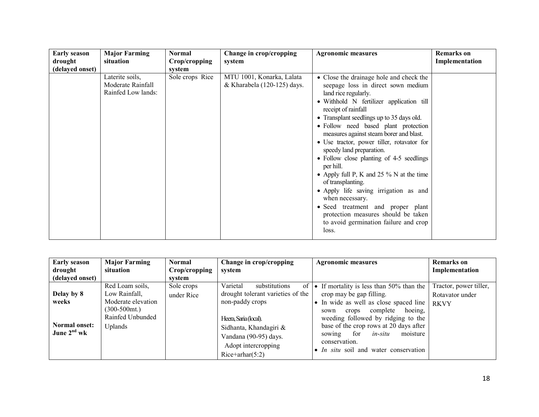| <b>Early season</b> | <b>Major Farming</b>                                       | Normal          | Change in crop/cropping                                  | <b>Agronomic measures</b>                                                                                                                                                                                                                                                                                                                                                                                                                                                                                                                                                                                                                                                                                 | <b>Remarks</b> on |
|---------------------|------------------------------------------------------------|-----------------|----------------------------------------------------------|-----------------------------------------------------------------------------------------------------------------------------------------------------------------------------------------------------------------------------------------------------------------------------------------------------------------------------------------------------------------------------------------------------------------------------------------------------------------------------------------------------------------------------------------------------------------------------------------------------------------------------------------------------------------------------------------------------------|-------------------|
| drought             | situation                                                  | Crop/cropping   | system                                                   |                                                                                                                                                                                                                                                                                                                                                                                                                                                                                                                                                                                                                                                                                                           | Implementation    |
| (delayed onset)     |                                                            | system          |                                                          |                                                                                                                                                                                                                                                                                                                                                                                                                                                                                                                                                                                                                                                                                                           |                   |
|                     | Laterite soils,<br>Moderate Rainfall<br>Rainfed Low lands: | Sole crops Rice | MTU 1001, Konarka, Lalata<br>& Kharabela (120-125) days. | • Close the drainage hole and check the<br>seepage loss in direct sown medium<br>land rice regularly.<br>· Withhold N fertilizer application till<br>receipt of rainfall<br>• Transplant seedlings up to 35 days old.<br>• Follow need based plant protection<br>measures against steam borer and blast.<br>• Use tractor, power tiller, rotavator for<br>speedy land preparation.<br>• Follow close planting of 4-5 seedlings<br>per hill.<br>• Apply full P, K and 25 $\%$ N at the time<br>of transplanting.<br>• Apply life saving irrigation as and<br>when necessary.<br>• Seed treatment and proper plant<br>protection measures should be taken<br>to avoid germination failure and crop<br>loss. |                   |
|                     |                                                            |                 |                                                          |                                                                                                                                                                                                                                                                                                                                                                                                                                                                                                                                                                                                                                                                                                           |                   |

| <b>Early season</b>                                          | <b>Major Farming</b>                                                                                      | <b>Normal</b>            | Change in crop/cropping                                                                                                                                             | <b>Agronomic measures</b>                                                                                                                                                                                                                                                                          | <b>Remarks</b> on                                        |
|--------------------------------------------------------------|-----------------------------------------------------------------------------------------------------------|--------------------------|---------------------------------------------------------------------------------------------------------------------------------------------------------------------|----------------------------------------------------------------------------------------------------------------------------------------------------------------------------------------------------------------------------------------------------------------------------------------------------|----------------------------------------------------------|
| drought                                                      | situation                                                                                                 | Crop/cropping            | system                                                                                                                                                              |                                                                                                                                                                                                                                                                                                    | Implementation                                           |
| (delayed onset)                                              |                                                                                                           | system                   |                                                                                                                                                                     |                                                                                                                                                                                                                                                                                                    |                                                          |
| Delay by 8<br>weeks<br><b>Normal onset:</b><br>June $2nd$ wk | Red Loam soils,<br>Low Rainfall.<br>Moderate elevation<br>$(300-500)$ mt.)<br>Rainfed Unbunded<br>Uplands | Sole crops<br>under Rice | Varietal<br>of<br>substitutions<br>drought tolerant varieties of the<br>non-paddy crops<br>Heera, Saria (local).<br>Sidhanta, Khandagiri &<br>Vandana (90-95) days. | • If mortality is less than $50\%$ than the<br>crop may be gap filling.<br>• In wide as well as close spaced line<br>complete<br>hoeing.<br>crops<br>sown<br>weeding followed by ridging to the<br>base of the crop rows at 20 days after<br>for<br>in-situ<br>moisture<br>sowing<br>conservation. | Tractor, power tiller,<br>Rotavator under<br><b>RKVY</b> |
|                                                              |                                                                                                           |                          | Adopt intercropping<br>$Rice+arhar(5:2)$                                                                                                                            | • In situ soil and water conservation                                                                                                                                                                                                                                                              |                                                          |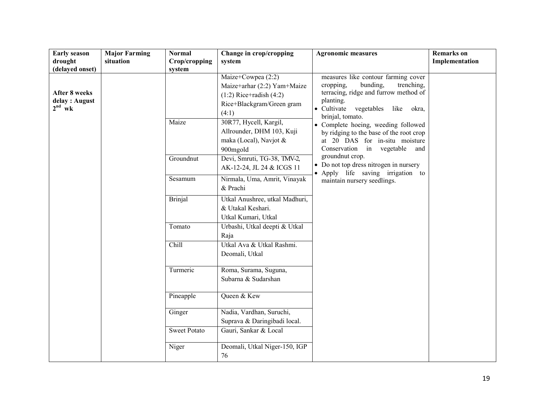| <b>Early season</b>                                                   | <b>Major Farming</b> | <b>Normal</b>       | Change in crop/cropping                                                                                                | <b>Agronomic measures</b>                                                                                                                                                                       | <b>Remarks</b> on |
|-----------------------------------------------------------------------|----------------------|---------------------|------------------------------------------------------------------------------------------------------------------------|-------------------------------------------------------------------------------------------------------------------------------------------------------------------------------------------------|-------------------|
| drought                                                               | situation            | Crop/cropping       | system                                                                                                                 |                                                                                                                                                                                                 | Implementation    |
| (delayed onset)<br><b>After 8 weeks</b><br>delay : August<br>$2nd$ wk |                      | system              | Maize+Cowpea (2:2)<br>Maize+arhar (2:2) Yam+Maize<br>$(1:2)$ Rice+radish $(4:2)$<br>Rice+Blackgram/Green gram<br>(4:1) | measures like contour farming cover<br>bunding,<br>cropping,<br>trenching,<br>terracing, ridge and furrow method of<br>planting.<br>• Cultivate vegetables<br>like<br>okra,<br>brinjal, tomato. |                   |
|                                                                       |                      | Maize               | 30R77, Hycell, Kargil,<br>Allrounder, DHM 103, Kuji<br>maka (Local), Navjot &<br>900mgold                              | • Complete hoeing, weeding followed<br>by ridging to the base of the root crop<br>at 20 DAS for in-situ moisture<br>Conservation in vegetable<br>and<br>groundnut crop.                         |                   |
|                                                                       |                      | Groundnut           | Devi, Smruti, TG-38, TMV-2,<br>AK-12-24, JL 24 & ICGS 11                                                               | • Do not top dress nitrogen in nursery<br>• Apply life saving irrigation to                                                                                                                     |                   |
|                                                                       |                      | Sesamum             | Nirmala, Uma, Amrit, Vinayak<br>& Prachi                                                                               | maintain nursery seedlings.                                                                                                                                                                     |                   |
|                                                                       |                      | <b>Brinjal</b>      | Utkal Anushree, utkal Madhuri,<br>& Utakal Keshari.<br>Utkal Kumari, Utkal                                             |                                                                                                                                                                                                 |                   |
|                                                                       |                      | Tomato              | Urbashi, Utkal deepti & Utkal<br>Raja                                                                                  |                                                                                                                                                                                                 |                   |
|                                                                       |                      | Chill               | Utkal Ava & Utkal Rashmi.<br>Deomali, Utkal                                                                            |                                                                                                                                                                                                 |                   |
|                                                                       |                      | Turmeric            | Roma, Surama, Suguna,<br>Subarna & Sudarshan                                                                           |                                                                                                                                                                                                 |                   |
|                                                                       |                      | Pineapple           | Queen & Kew                                                                                                            |                                                                                                                                                                                                 |                   |
|                                                                       |                      | Ginger              | Nadia, Vardhan, Suruchi,<br>Suprava & Daringibadi local.                                                               |                                                                                                                                                                                                 |                   |
|                                                                       |                      | <b>Sweet Potato</b> | Gauri, Sankar & Local                                                                                                  |                                                                                                                                                                                                 |                   |
|                                                                       |                      | Niger               | Deomali, Utkal Niger-150, IGP<br>76                                                                                    |                                                                                                                                                                                                 |                   |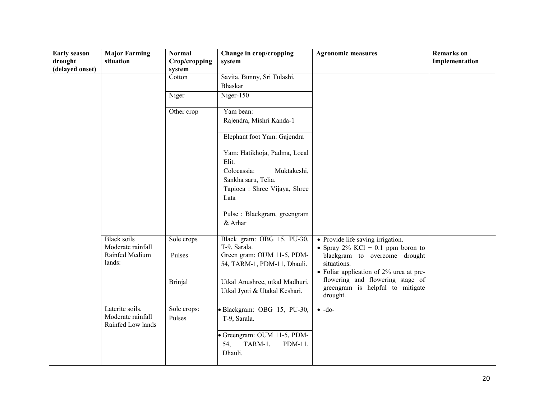| <b>Early season</b><br>drought<br>(delayed onset) | <b>Major Farming</b><br>situation                         | <b>Normal</b><br>Crop/cropping<br>system | Change in crop/cropping<br>system                                                                                                                                                                                                                          | <b>Agronomic measures</b>                                                                                                                  | <b>Remarks</b> on<br>Implementation |
|---------------------------------------------------|-----------------------------------------------------------|------------------------------------------|------------------------------------------------------------------------------------------------------------------------------------------------------------------------------------------------------------------------------------------------------------|--------------------------------------------------------------------------------------------------------------------------------------------|-------------------------------------|
|                                                   |                                                           | Cotton                                   | Savita, Bunny, Sri Tulashi,<br>Bhaskar                                                                                                                                                                                                                     |                                                                                                                                            |                                     |
|                                                   |                                                           | Niger                                    | Niger- $150$                                                                                                                                                                                                                                               |                                                                                                                                            |                                     |
|                                                   |                                                           | Other crop                               | Yam bean:<br>Rajendra, Mishri Kanda-1                                                                                                                                                                                                                      |                                                                                                                                            |                                     |
|                                                   |                                                           |                                          | Elephant foot Yam: Gajendra                                                                                                                                                                                                                                |                                                                                                                                            |                                     |
|                                                   | <b>Black soils</b><br>Moderate rainfall<br>Rainfed Medium | Sole crops<br>Pulses                     | Yam: Hatikhoja, Padma, Local<br>Elit.<br>Colocassia:<br>Muktakeshi,<br>Sankha saru, Telia.<br>Tapioca : Shree Vijaya, Shree<br>Lata<br>Pulse : Blackgram, greengram<br>& Arhar<br>Black gram: OBG 15, PU-30,<br>T-9, Sarala.<br>Green gram: OUM 11-5, PDM- | • Provide life saving irrigation.<br>• Spray $2\%$ KCl + 0.1 ppm boron to<br>blackgram to overcome drought                                 |                                     |
|                                                   | lands:                                                    | <b>Brinjal</b>                           | 54, TARM-1, PDM-11, Dhauli.<br>Utkal Anushree, utkal Madhuri,<br>Utkal Jyoti & Utakal Keshari.                                                                                                                                                             | situations.<br>• Foliar application of 2% urea at pre-<br>flowering and flowering stage of<br>greengram is helpful to mitigate<br>drought. |                                     |
|                                                   | Laterite soils,<br>Moderate rainfall<br>Rainfed Low lands | Sole crops:<br>Pulses                    | · Blackgram: OBG 15, PU-30,<br>T-9, Sarala.                                                                                                                                                                                                                | $\bullet$ -do-                                                                                                                             |                                     |
|                                                   |                                                           |                                          | Greengram: OUM 11-5, PDM-<br>TARM-1,<br>54,<br>$PDM-11$ ,<br>Dhauli.                                                                                                                                                                                       |                                                                                                                                            |                                     |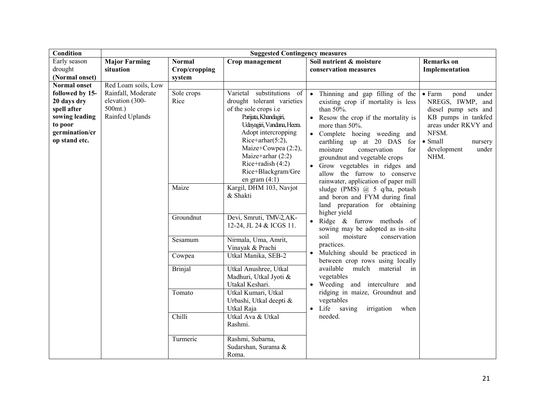| Condition           | <b>Suggested Contingency measures</b> |                |                                     |                                                                      |                                 |  |
|---------------------|---------------------------------------|----------------|-------------------------------------|----------------------------------------------------------------------|---------------------------------|--|
| Early season        | <b>Major Farming</b>                  | <b>Normal</b>  | Crop management                     | Soil nutrient & moisture                                             | <b>Remarks</b> on               |  |
| drought             | situation                             | Crop/cropping  |                                     | conservation measures                                                | Implementation                  |  |
| (Normal onset)      |                                       | system         |                                     |                                                                      |                                 |  |
| <b>Normal onset</b> | Red Loam soils, Low                   |                |                                     |                                                                      |                                 |  |
| followed by 15-     | Rainfall, Moderate                    | Sole crops     | Varietal substitutions of           | Thinning and gap filling of the<br>$\bullet$                         | $\bullet$ Farm<br>pond<br>under |  |
| 20 days dry         | elevation (300-                       | Rice           | drought tolerant varieties          | existing crop if mortality is less                                   | NREGS, IWMP, and                |  |
| spell after         | $500$ mt.)                            |                | of the sole crops i.e               | than 50%.                                                            | diesel pump sets and            |  |
| sowing leading      | Rainfed Uplands                       |                | Parijata, Khandagiri,               | • Resow the crop if the mortality is                                 | KB pumps in tankfed             |  |
| to poor             |                                       |                | Udayagiri, Vandana, Heera.          | more than 50%.                                                       | areas under RKVY and            |  |
| germination/cr      |                                       |                | Adopt intercropping                 | • Complete hoeing weeding and                                        | NFSM.                           |  |
| op stand etc.       |                                       |                | Rice+arhar $(5:2)$ ,                | earthling up at 20 DAS<br>for                                        | $\bullet$ Small<br>nursery      |  |
|                     |                                       |                | Maize+Cowpea (2:2),                 | moisture<br>conservation<br>for                                      | development<br>under            |  |
|                     |                                       |                | Maize+arhar $(2:2)$                 | groundnut and vegetable crops                                        | NHM.                            |  |
|                     |                                       |                | Rice+radish $(4:2)$                 | • Grow vegetables in ridges and                                      |                                 |  |
|                     |                                       |                | Rice+Blackgram/Gre                  | allow the furrow to conserve                                         |                                 |  |
|                     |                                       |                | en gram $(4:1)$                     | rainwater, application of paper mill                                 |                                 |  |
|                     |                                       | Maize          | Kargil, DHM 103, Navjot<br>& Shakti | sludge (PMS) @ 5 q/ha, potash                                        |                                 |  |
|                     |                                       |                |                                     | and boron and FYM during final                                       |                                 |  |
|                     |                                       |                |                                     | land preparation for obtaining                                       |                                 |  |
|                     |                                       | Groundnut      | Devi, Smruti, TMV-2, AK-            | higher yield                                                         |                                 |  |
|                     |                                       |                | 12-24, JL 24 & ICGS 11.             | Ridge $\&$ furrow methods of                                         |                                 |  |
|                     |                                       |                |                                     | sowing may be adopted as in-situ<br>soil<br>moisture<br>conservation |                                 |  |
|                     |                                       | Sesamum        | Nirmala, Uma, Amrit,                | practices.                                                           |                                 |  |
|                     |                                       |                | Vinayak & Prachi                    | Mulching should be practiced in                                      |                                 |  |
|                     |                                       | Cowpea         | Utkal Manika, SEB-2                 | between crop rows using locally                                      |                                 |  |
|                     |                                       | <b>Brinjal</b> | Utkal Anushree, Utkal               | mulch<br>available<br>material<br>in                                 |                                 |  |
|                     |                                       |                | Madhuri, Utkal Jyoti &              | vegetables                                                           |                                 |  |
|                     |                                       |                | Utakal Keshari.                     | Weeding and interculture and                                         |                                 |  |
|                     |                                       | Tomato         | Utkal Kumari, Utkal                 | ridging in maize, Groundnut and                                      |                                 |  |
|                     |                                       |                | Urbashi, Utkal deepti &             | vegetables                                                           |                                 |  |
|                     |                                       |                | Utkal Raja                          | Life saving<br>irrigation<br>when                                    |                                 |  |
|                     |                                       | Chilli         | Utkal Ava & Utkal                   | needed.                                                              |                                 |  |
|                     |                                       |                | Rashmi.                             |                                                                      |                                 |  |
|                     |                                       | Turmeric       | Rashmi, Subarna,                    |                                                                      |                                 |  |
|                     |                                       |                | Sudarshan, Surama &                 |                                                                      |                                 |  |
|                     |                                       |                | Roma.                               |                                                                      |                                 |  |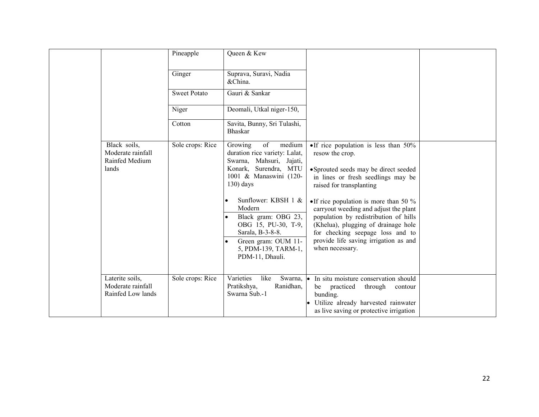|                                                              | Pineapple           | Queen & Kew                                                                                                                                                                                                                                                                                   |                                                                                                                                                                                                                                                                                                                                                                                                                           |  |
|--------------------------------------------------------------|---------------------|-----------------------------------------------------------------------------------------------------------------------------------------------------------------------------------------------------------------------------------------------------------------------------------------------|---------------------------------------------------------------------------------------------------------------------------------------------------------------------------------------------------------------------------------------------------------------------------------------------------------------------------------------------------------------------------------------------------------------------------|--|
|                                                              | Ginger              | Suprava, Suravi, Nadia<br>&China.                                                                                                                                                                                                                                                             |                                                                                                                                                                                                                                                                                                                                                                                                                           |  |
|                                                              | <b>Sweet Potato</b> | Gauri & Sankar                                                                                                                                                                                                                                                                                |                                                                                                                                                                                                                                                                                                                                                                                                                           |  |
|                                                              | Niger               | Deomali, Utkal niger-150,                                                                                                                                                                                                                                                                     |                                                                                                                                                                                                                                                                                                                                                                                                                           |  |
|                                                              | Cotton              | Savita, Bunny, Sri Tulashi,<br><b>Bhaskar</b>                                                                                                                                                                                                                                                 |                                                                                                                                                                                                                                                                                                                                                                                                                           |  |
| Black soils,<br>Moderate rainfall<br>Rainfed Medium<br>lands | Sole crops: Rice    | medium<br>of<br>Growing<br>duration rice variety: Lalat,<br>Swarna, Mahsuri, Jajati,<br>Konark, Surendra, MTU<br>1001 & Manaswini (120-<br>$130)$ days<br>Sunflower: KBSH 1 &<br>$\bullet$<br>Modern<br>Black gram: OBG 23,<br>OBG 15, PU-30, T-9,<br>Sarala, B-3-8-8.<br>Green gram: OUM 11- | • If rice population is less than $50\%$<br>resow the crop.<br>• Sprouted seeds may be direct seeded<br>in lines or fresh seedlings may be<br>raised for transplanting<br>• If rice population is more than 50 $\%$<br>carryout weeding and adjust the plant<br>population by redistribution of hills<br>(Khelua), plugging of drainage hole<br>for checking seepage loss and to<br>provide life saving irrigation as and |  |
|                                                              |                     | 5, PDM-139, TARM-1,<br>PDM-11, Dhauli.                                                                                                                                                                                                                                                        | when necessary.                                                                                                                                                                                                                                                                                                                                                                                                           |  |
| Laterite soils,<br>Moderate rainfall<br>Rainfed Low lands    | Sole crops: Rice    | Varieties<br>like<br>Pratikshya,<br>Ranidhan,<br>Swarna Sub.-1                                                                                                                                                                                                                                | Swarna, • In situ moisture conservation should<br>be practiced<br>through<br>contour<br>bunding.<br>Utilize already harvested rainwater<br>as live saving or protective irrigation                                                                                                                                                                                                                                        |  |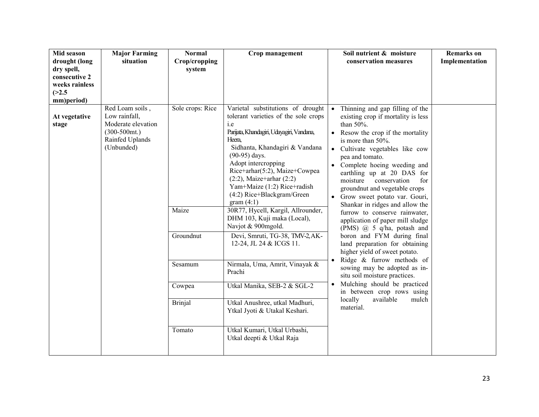| Mid season<br>drought (long<br>dry spell,<br>consecutive 2<br>weeks rainless<br>(>2.5) | <b>Major Farming</b><br>situation                                                                           | <b>Normal</b><br>Crop/cropping<br>system                                                | Crop management                                                                                                                                                                                                                                                                                                                                                                                                                                                                                                                                                                                                                                                                                                                        | Soil nutrient & moisture<br>conservation measures                                                                                                                                                                                                                                                                                                                                                                                                                                                                                                                                                                                                                                                                                                                                                                                                                                           | <b>Remarks</b> on<br>Implementation |
|----------------------------------------------------------------------------------------|-------------------------------------------------------------------------------------------------------------|-----------------------------------------------------------------------------------------|----------------------------------------------------------------------------------------------------------------------------------------------------------------------------------------------------------------------------------------------------------------------------------------------------------------------------------------------------------------------------------------------------------------------------------------------------------------------------------------------------------------------------------------------------------------------------------------------------------------------------------------------------------------------------------------------------------------------------------------|---------------------------------------------------------------------------------------------------------------------------------------------------------------------------------------------------------------------------------------------------------------------------------------------------------------------------------------------------------------------------------------------------------------------------------------------------------------------------------------------------------------------------------------------------------------------------------------------------------------------------------------------------------------------------------------------------------------------------------------------------------------------------------------------------------------------------------------------------------------------------------------------|-------------------------------------|
| mm)period)                                                                             |                                                                                                             |                                                                                         |                                                                                                                                                                                                                                                                                                                                                                                                                                                                                                                                                                                                                                                                                                                                        |                                                                                                                                                                                                                                                                                                                                                                                                                                                                                                                                                                                                                                                                                                                                                                                                                                                                                             |                                     |
| At vegetative<br>stage                                                                 | Red Loam soils,<br>Low rainfall,<br>Moderate elevation<br>$(300-500)$ mt.)<br>Rainfed Uplands<br>(Unbunded) | Sole crops: Rice<br>Maize<br>Groundnut<br>Sesamum<br>Cowpea<br><b>Brinjal</b><br>Tomato | Varietal substitutions of drought<br>tolerant varieties of the sole crops<br>i.e<br>Parijata, Khandagiri, Udayagiri, Vandana,<br>Heera.<br>Sidhanta, Khandagiri & Vandana<br>$(90-95)$ days.<br>Adopt intercropping<br>Rice+arhar(5:2), Maize+Cowpea<br>$(2:2)$ , Maize+arhar $(2:2)$<br>Yam+Maize (1:2) Rice+radish<br>(4:2) Rice+Blackgram/Green<br>gram $(4:1)$<br>30R77, Hycell, Kargil, Allrounder,<br>DHM 103, Kuji maka (Local),<br>Navjot & 900mgold.<br>Devi, Smruti, TG-38, TMV-2, AK-<br>12-24, JL 24 & ICGS 11.<br>Nirmala, Uma, Amrit, Vinayak &<br>Prachi<br>Utkal Manika, SEB-2 & SGL-2<br>Utkal Anushree, utkal Madhuri,<br>Ytkal Jyoti & Utakal Keshari.<br>Utkal Kumari, Utkal Urbashi,<br>Utkal deepti & Utkal Raja | Thinning and gap filling of the<br>$\bullet$<br>existing crop if mortality is less<br>than 50%.<br>Resow the crop if the mortality<br>$\bullet$<br>is more than 50%.<br>Cultivate vegetables like cow<br>$\bullet$<br>pea and tomato.<br>• Complete hoeing weeding and<br>earthling up at 20 DAS for<br>moisture<br>conservation<br>for<br>groundnut and vegetable crops<br>Grow sweet potato var. Gouri,<br>$\bullet$<br>Shankar in ridges and allow the<br>furrow to conserve rainwater,<br>application of paper mill sludge<br>(PMS) $\omega$ 5 q/ha, potash and<br>boron and FYM during final<br>land preparation for obtaining<br>higher yield of sweet potato.<br>Ridge & furrow methods of<br>$\bullet$<br>sowing may be adopted as in-<br>situ soil moisture practices.<br>Mulching should be practiced<br>in between crop rows using<br>locally<br>available<br>mulch<br>material. |                                     |
|                                                                                        |                                                                                                             |                                                                                         |                                                                                                                                                                                                                                                                                                                                                                                                                                                                                                                                                                                                                                                                                                                                        |                                                                                                                                                                                                                                                                                                                                                                                                                                                                                                                                                                                                                                                                                                                                                                                                                                                                                             |                                     |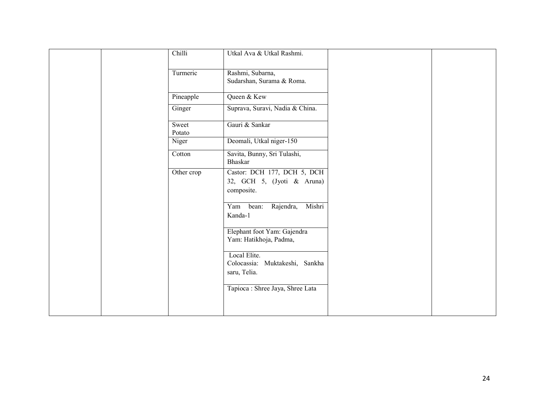| Chilli          | Utkal Ava & Utkal Rashmi.                                               |  |
|-----------------|-------------------------------------------------------------------------|--|
|                 |                                                                         |  |
| Turmeric        | Rashmi, Subarna,                                                        |  |
|                 | Sudarshan, Surama & Roma.                                               |  |
| Pineapple       | Queen & Kew                                                             |  |
| Ginger          | Suprava, Suravi, Nadia & China.                                         |  |
| Sweet<br>Potato | Gauri & Sankar                                                          |  |
| Niger           | Deomali, Utkal niger-150                                                |  |
| Cotton          | Savita, Bunny, Sri Tulashi,<br>Bhaskar                                  |  |
| Other crop      | Castor: DCH 177, DCH 5, DCH<br>32, GCH 5, (Jyoti & Aruna)<br>composite. |  |
|                 | Mishri<br>Rajendra,<br>Yam<br>bean:<br>Kanda-1                          |  |
|                 | Elephant foot Yam: Gajendra<br>Yam: Hatikhoja, Padma,                   |  |
|                 | Local Elite.<br>Colocassia: Muktakeshi, Sankha<br>saru, Telia.          |  |
|                 | Tapioca : Shree Jaya, Shree Lata                                        |  |
|                 |                                                                         |  |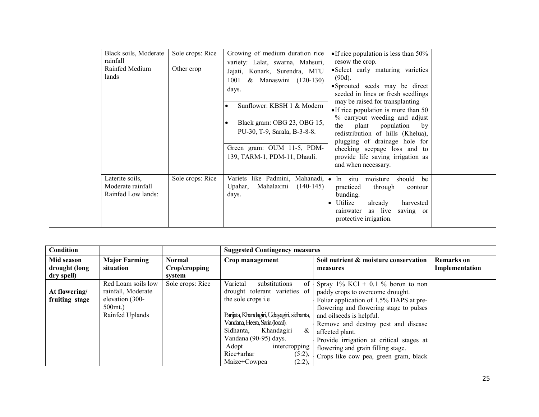| Black soils, Moderate<br>rainfall<br>Rainfed Medium<br>lands | Sole crops: Rice<br>Other crop | Growing of medium duration rice<br>variety: Lalat, swarna, Mahsuri,<br>Jajati, Konark, Surendra, MTU<br>& Manaswini (120-130)<br>1001<br>days.<br>Sunflower: KBSH 1 & Modern<br>Black gram: OBG 23, OBG 15,<br>PU-30, T-9, Sarala, B-3-8-8.<br>Green gram: OUM 11-5, PDM-<br>139, TARM-1, PDM-11, Dhauli. | • If rice population is less than $50\%$<br>resow the crop.<br>• Select early maturing varieties<br>$(90d)$ .<br>• Sprouted seeds may be direct<br>seeded in lines or fresh seedlings<br>may be raised for transplanting<br>$\bullet$ If rice population is more than 50<br>% carryout weeding and adjust<br>plant population<br>the<br>by<br>redistribution of hills (Khelua),<br>plugging of drainage hole for<br>checking seepage loss and to<br>provide life saving irrigation as<br>and when necessary. |  |
|--------------------------------------------------------------|--------------------------------|-----------------------------------------------------------------------------------------------------------------------------------------------------------------------------------------------------------------------------------------------------------------------------------------------------------|--------------------------------------------------------------------------------------------------------------------------------------------------------------------------------------------------------------------------------------------------------------------------------------------------------------------------------------------------------------------------------------------------------------------------------------------------------------------------------------------------------------|--|
| Laterite soils,<br>Moderate rainfall<br>Rainfed Low lands:   | Sole crops: Rice               | Variets like Padmini, Mahanadi,<br>Mahalaxmi<br>$(140-145)$<br>Upahar.<br>days.                                                                                                                                                                                                                           | $\bullet$ In situ<br>moisture<br>should be<br>practiced<br>through<br>contour<br>bunding.<br>Utilize<br>already<br>harvested<br>rainwater as live<br>saving or<br>protective irrigation.                                                                                                                                                                                                                                                                                                                     |  |

| <b>Condition</b>                              |                                                                                              |                                          | <b>Suggested Contingency measures</b>                                                                                                                                                                                                                                                                              |                                                                                                                                                                                                                                                                                                                                                                                 |                                     |
|-----------------------------------------------|----------------------------------------------------------------------------------------------|------------------------------------------|--------------------------------------------------------------------------------------------------------------------------------------------------------------------------------------------------------------------------------------------------------------------------------------------------------------------|---------------------------------------------------------------------------------------------------------------------------------------------------------------------------------------------------------------------------------------------------------------------------------------------------------------------------------------------------------------------------------|-------------------------------------|
| Mid season<br>drought (long                   | <b>Major Farming</b><br>situation                                                            | <b>Normal</b><br>Crop/cropping<br>system | Crop management                                                                                                                                                                                                                                                                                                    | Soil nutrient & moisture conservation<br>measures                                                                                                                                                                                                                                                                                                                               | <b>Remarks</b> on<br>Implementation |
| dry spell)<br>At flowering/<br>fruiting stage | Red Loam soils low<br>rainfall, Moderate<br>elevation (300-<br>$500$ mt.)<br>Rainfed Uplands | Sole crops: Rice                         | Varietal<br>substitutions<br>of<br>drought tolerant varieties of<br>the sole crops <i>i.e</i><br>Parijata, Khandagiri, Udayagiri, sidhanta,<br>Vandana, Heera, Saria (local).<br>Sidhanta,<br>Khandagiri<br>&<br>Vandana (90-95) days.<br>intercropping<br>Adopt<br>Rice+arhar<br>(5:2),<br>Maize+Cowpea<br>(2:2), | Spray $1\%$ KCl + 0.1 % boron to non<br>paddy crops to overcome drought.<br>Foliar application of 1.5% DAPS at pre-<br>flowering and flowering stage to pulses<br>and oilseeds is helpful.<br>Remove and destroy pest and disease<br>affected plant.<br>Provide irrigation at critical stages at<br>flowering and grain filling stage.<br>Crops like cow pea, green gram, black |                                     |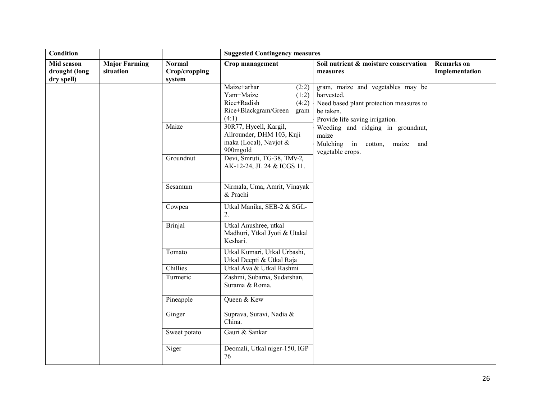| Condition                                 |                                   |                                          | <b>Suggested Contingency measures</b>                                                                                                 |                                                                                                                                            |                                     |  |
|-------------------------------------------|-----------------------------------|------------------------------------------|---------------------------------------------------------------------------------------------------------------------------------------|--------------------------------------------------------------------------------------------------------------------------------------------|-------------------------------------|--|
| Mid season<br>drought (long<br>dry spell) | <b>Major Farming</b><br>situation | <b>Normal</b><br>Crop/cropping<br>system | Crop management                                                                                                                       | Soil nutrient & moisture conservation<br>measures                                                                                          | <b>Remarks</b> on<br>Implementation |  |
|                                           |                                   | Maize                                    | Maize+arhar<br>(2:2)<br>Yam+Maize<br>(1:2)<br>Rice+Radish<br>(4:2)<br>Rice+Blackgram/Green<br>gram<br>(4:1)<br>30R77, Hycell, Kargil, | gram, maize and vegetables may be<br>harvested.<br>Need based plant protection measures to<br>be taken.<br>Provide life saving irrigation. |                                     |  |
|                                           |                                   |                                          | Allrounder, DHM 103, Kuji<br>maka (Local), Navjot $&$<br>900mgold                                                                     | Weeding and ridging in groundnut,<br>maize<br>Mulching in cotton,<br>maize<br>and<br>vegetable crops.                                      |                                     |  |
|                                           |                                   | Groundnut                                | Devi, Smruti, TG-38, TMV-2,<br>AK-12-24, JL 24 & ICGS 11.                                                                             |                                                                                                                                            |                                     |  |
|                                           |                                   | Sesamum                                  | Nirmala, Uma, Amrit, Vinayak<br>& Prachi                                                                                              |                                                                                                                                            |                                     |  |
|                                           |                                   | Cowpea                                   | Utkal Manika, SEB-2 & SGL-<br>2.                                                                                                      |                                                                                                                                            |                                     |  |
|                                           |                                   | <b>Brinjal</b>                           | Utkal Anushree, utkal<br>Madhuri, Ytkal Jyoti & Utakal<br>Keshari.                                                                    |                                                                                                                                            |                                     |  |
|                                           |                                   | Tomato                                   | Utkal Kumari, Utkal Urbashi,<br>Utkal Deepti & Utkal Raja                                                                             |                                                                                                                                            |                                     |  |
|                                           |                                   | Chillies                                 | Utkal Ava & Utkal Rashmi                                                                                                              |                                                                                                                                            |                                     |  |
|                                           |                                   | Turmeric                                 | Zashmi, Subarna, Sudarshan,<br>Surama & Roma.                                                                                         |                                                                                                                                            |                                     |  |
|                                           |                                   | Pineapple                                | Queen & Kew                                                                                                                           |                                                                                                                                            |                                     |  |
|                                           |                                   | Ginger                                   | Suprava, Suravi, Nadia &<br>China.                                                                                                    |                                                                                                                                            |                                     |  |
|                                           |                                   | Sweet potato                             | Gauri & Sankar                                                                                                                        |                                                                                                                                            |                                     |  |
|                                           |                                   | Niger                                    | Deomali, Utkal niger-150, IGP<br>76                                                                                                   |                                                                                                                                            |                                     |  |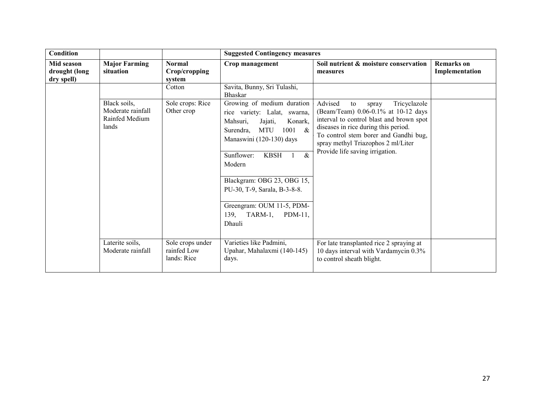| <b>Condition</b>                          |                                                              |                                                | <b>Suggested Contingency measures</b>                                                                                                                                                                                                                                                                                                                                                              |                                                                                                                                                                                                                                                                                     |                                     |
|-------------------------------------------|--------------------------------------------------------------|------------------------------------------------|----------------------------------------------------------------------------------------------------------------------------------------------------------------------------------------------------------------------------------------------------------------------------------------------------------------------------------------------------------------------------------------------------|-------------------------------------------------------------------------------------------------------------------------------------------------------------------------------------------------------------------------------------------------------------------------------------|-------------------------------------|
| Mid season<br>drought (long<br>dry spell) | <b>Major Farming</b><br>situation                            | <b>Normal</b><br>Crop/cropping<br>system       | Crop management                                                                                                                                                                                                                                                                                                                                                                                    | Soil nutrient & moisture conservation<br>measures                                                                                                                                                                                                                                   | <b>Remarks</b> on<br>Implementation |
|                                           |                                                              | Cotton                                         | Savita, Bunny, Sri Tulashi,<br><b>Bhaskar</b>                                                                                                                                                                                                                                                                                                                                                      |                                                                                                                                                                                                                                                                                     |                                     |
|                                           | Black soils,<br>Moderate rainfall<br>Rainfed Medium<br>lands | Sole crops: Rice<br>Other crop                 | Growing of medium duration<br>rice variety: Lalat, swarna,<br>Mahsuri,<br>Jajati,<br>Konark,<br><b>MTU</b><br>Surendra,<br>1001<br>$\boldsymbol{\mathcal{X}}$<br>Manaswini (120-130) days<br>$\overline{\mathcal{X}}$<br>Sunflower:<br><b>KBSH</b><br>Modern<br>Blackgram: OBG 23, OBG 15,<br>PU-30, T-9, Sarala, B-3-8-8.<br>Greengram: OUM 11-5, PDM-<br>TARM-1,<br>$PDM-11$ ,<br>139,<br>Dhauli | Advised<br>Tricyclazole<br>to<br>spray<br>(Beam/Team) 0.06-0.1% at 10-12 days<br>interval to control blast and brown spot<br>diseases in rice during this period.<br>To control stem borer and Gandhi bug,<br>spray methyl Triazophos 2 ml/Liter<br>Provide life saving irrigation. |                                     |
|                                           | Laterite soils,<br>Moderate rainfall                         | Sole crops under<br>rainfed Low<br>lands: Rice | Varieties like Padmini,<br>Upahar, Mahalaxmi (140-145)<br>days.                                                                                                                                                                                                                                                                                                                                    | For late transplanted rice 2 spraying at<br>10 days interval with Vardamycin 0.3%<br>to control sheath blight.                                                                                                                                                                      |                                     |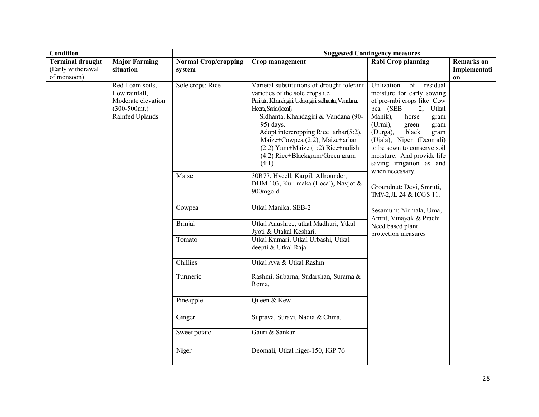| Condition                                                   |                                                                                               |                                       | <b>Suggested Contingency measures</b>                                                                                                                                                                                                                                                                                                                                             |                                                                                                                                                                                                                                                                                                                                                                                                                                                                                                     |                                         |  |  |
|-------------------------------------------------------------|-----------------------------------------------------------------------------------------------|---------------------------------------|-----------------------------------------------------------------------------------------------------------------------------------------------------------------------------------------------------------------------------------------------------------------------------------------------------------------------------------------------------------------------------------|-----------------------------------------------------------------------------------------------------------------------------------------------------------------------------------------------------------------------------------------------------------------------------------------------------------------------------------------------------------------------------------------------------------------------------------------------------------------------------------------------------|-----------------------------------------|--|--|
| <b>Terminal drought</b><br>(Early withdrawal<br>of monsoon) | <b>Major Farming</b><br>situation                                                             | <b>Normal Crop/cropping</b><br>system | Crop management                                                                                                                                                                                                                                                                                                                                                                   | Rabi Crop planning                                                                                                                                                                                                                                                                                                                                                                                                                                                                                  | <b>Remarks</b> on<br>Implementati<br>on |  |  |
|                                                             | Red Loam soils,<br>Low rainfall,<br>Moderate elevation<br>$(300-500)$ mt.)<br>Rainfed Uplands | Sole crops: Rice                      | Varietal substitutions of drought tolerant<br>varieties of the sole crops i.e<br>Parijata, Khandagiri, Udayagiri, sidhanta, Vandana,<br>Heera, Saria (local).<br>Sidhanta, Khandagiri & Vandana (90-<br>95) days.<br>Adopt intercropping Rice+arhar(5:2),<br>Maize+Cowpea (2:2), Maize+arhar<br>$(2:2)$ Yam+Maize $(1:2)$ Rice+radish<br>(4:2) Rice+Blackgram/Green gram<br>(4:1) | Utilization<br>of<br>residual<br>moisture for early sowing<br>of pre-rabi crops like Cow<br>pea (SEB - 2, Utkal<br>Manik),<br>horse<br>gram<br>(Urmi),<br>gram<br>green<br>(Durga),<br>black<br>gram<br>(Ujala), Niger (Deomali)<br>to be sown to conserve soil<br>moisture. And provide life<br>saving irrigation as and<br>when necessary.<br>Groundnut: Devi, Smruti,<br>TMV-2, JL 24 & ICGS 11.<br>Sesamum: Nirmala, Uma,<br>Amrit, Vinayak & Prachi<br>Need based plant<br>protection measures |                                         |  |  |
|                                                             |                                                                                               | Maize                                 | 30R77, Hycell, Kargil, Allrounder,<br>DHM 103, Kuji maka (Local), Navjot &<br>900mgold.                                                                                                                                                                                                                                                                                           |                                                                                                                                                                                                                                                                                                                                                                                                                                                                                                     |                                         |  |  |
|                                                             |                                                                                               | Cowpea                                | Utkal Manika, SEB-2                                                                                                                                                                                                                                                                                                                                                               |                                                                                                                                                                                                                                                                                                                                                                                                                                                                                                     |                                         |  |  |
|                                                             |                                                                                               | <b>Brinjal</b>                        | Utkal Anushree, utkal Madhuri, Ytkal<br>Jyoti & Utakal Keshari.                                                                                                                                                                                                                                                                                                                   |                                                                                                                                                                                                                                                                                                                                                                                                                                                                                                     |                                         |  |  |
|                                                             |                                                                                               | Tomato                                | Utkal Kumari, Utkal Urbashi, Utkal<br>deepti & Utkal Raja                                                                                                                                                                                                                                                                                                                         |                                                                                                                                                                                                                                                                                                                                                                                                                                                                                                     |                                         |  |  |
|                                                             |                                                                                               | Chillies                              | Utkal Ava & Utkal Rashm                                                                                                                                                                                                                                                                                                                                                           |                                                                                                                                                                                                                                                                                                                                                                                                                                                                                                     |                                         |  |  |
|                                                             |                                                                                               | Turmeric                              | Rashmi, Subarna, Sudarshan, Surama &<br>Roma.                                                                                                                                                                                                                                                                                                                                     |                                                                                                                                                                                                                                                                                                                                                                                                                                                                                                     |                                         |  |  |
|                                                             |                                                                                               | Pineapple                             | Queen & Kew                                                                                                                                                                                                                                                                                                                                                                       |                                                                                                                                                                                                                                                                                                                                                                                                                                                                                                     |                                         |  |  |
|                                                             |                                                                                               | Ginger                                | Suprava, Suravi, Nadia & China.                                                                                                                                                                                                                                                                                                                                                   |                                                                                                                                                                                                                                                                                                                                                                                                                                                                                                     |                                         |  |  |
|                                                             |                                                                                               | Sweet potato                          | Gauri & Sankar                                                                                                                                                                                                                                                                                                                                                                    |                                                                                                                                                                                                                                                                                                                                                                                                                                                                                                     |                                         |  |  |
|                                                             |                                                                                               | Niger                                 | Deomali, Utkal niger-150, IGP 76                                                                                                                                                                                                                                                                                                                                                  |                                                                                                                                                                                                                                                                                                                                                                                                                                                                                                     |                                         |  |  |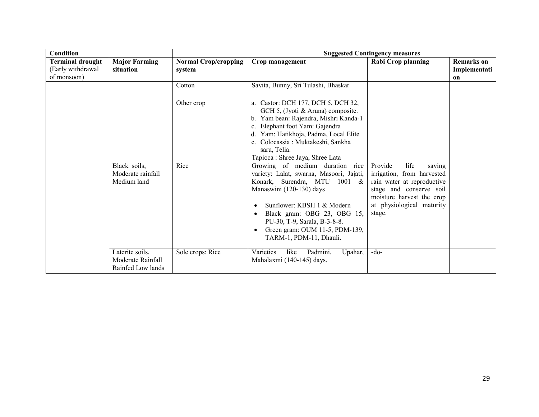| Condition                                                   |                                                           |                                       | <b>Suggested Contingency measures</b>                                                                                                                                                                                                                                                                                                  |                                                                                                                                                         |                                         |
|-------------------------------------------------------------|-----------------------------------------------------------|---------------------------------------|----------------------------------------------------------------------------------------------------------------------------------------------------------------------------------------------------------------------------------------------------------------------------------------------------------------------------------------|---------------------------------------------------------------------------------------------------------------------------------------------------------|-----------------------------------------|
| <b>Terminal drought</b><br>(Early withdrawal<br>of monsoon) | <b>Major Farming</b><br>situation                         | <b>Normal Crop/cropping</b><br>system | Crop management                                                                                                                                                                                                                                                                                                                        | <b>Rabi Crop planning</b>                                                                                                                               | <b>Remarks</b> on<br>Implementati<br>on |
|                                                             |                                                           | Cotton                                | Savita, Bunny, Sri Tulashi, Bhaskar                                                                                                                                                                                                                                                                                                    |                                                                                                                                                         |                                         |
|                                                             | Black soils,                                              | Other crop<br>Rice                    | a. Castor: DCH 177, DCH 5, DCH 32,<br>GCH 5, (Jyoti & Aruna) composite.<br>Yam bean: Rajendra, Mishri Kanda-1<br>$b_{\cdot}$<br>Elephant foot Yam: Gajendra<br>Yam: Hatikhoja, Padma, Local Elite<br>d.<br>e. Colocassia: Muktakeshi, Sankha<br>saru, Telia.<br>Tapioca : Shree Jaya, Shree Lata<br>Growing of medium duration<br>rice | Provide<br>life<br>saving                                                                                                                               |                                         |
|                                                             | Moderate rainfall<br>Medium land                          |                                       | variety: Lalat, swarna, Masoori, Jajati,<br>Konark, Surendra, MTU 1001 &<br>Manaswini (120-130) days<br>Sunflower: KBSH 1 & Modern<br>Black gram: OBG 23, OBG 15,<br>PU-30, T-9, Sarala, B-3-8-8.<br>Green gram: OUM 11-5, PDM-139,<br>TARM-1, PDM-11, Dhauli.                                                                         | irrigation, from harvested<br>rain water at reproductive<br>stage and conserve soil<br>moisture harvest the crop<br>at physiological maturity<br>stage. |                                         |
|                                                             | Laterite soils,<br>Moderate Rainfall<br>Rainfed Low lands | Sole crops: Rice                      | Varieties<br>like<br>Padmini,<br>Upahar,<br>Mahalaxmi (140-145) days.                                                                                                                                                                                                                                                                  | $-do-$                                                                                                                                                  |                                         |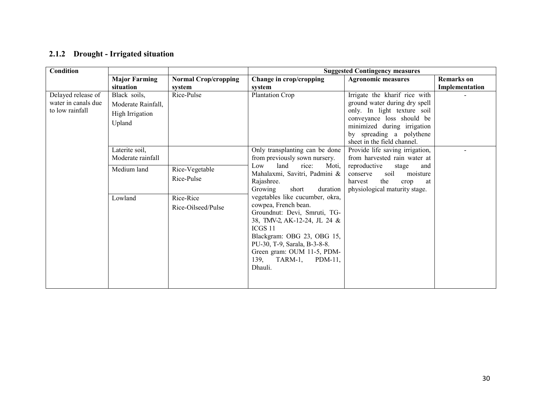|  | 2.1.2 Drought - Irrigated situation |  |  |
|--|-------------------------------------|--|--|
|--|-------------------------------------|--|--|

| Condition                                                    |                                                                 |                                 |                                                                                                                                                                                                                                                                   | <b>Suggested Contingency measures</b>                                                                                                                                                                                |                   |
|--------------------------------------------------------------|-----------------------------------------------------------------|---------------------------------|-------------------------------------------------------------------------------------------------------------------------------------------------------------------------------------------------------------------------------------------------------------------|----------------------------------------------------------------------------------------------------------------------------------------------------------------------------------------------------------------------|-------------------|
|                                                              | <b>Major Farming</b>                                            | <b>Normal Crop/cropping</b>     | Change in crop/cropping                                                                                                                                                                                                                                           | <b>Agronomic measures</b>                                                                                                                                                                                            | <b>Remarks</b> on |
|                                                              | situation                                                       | system                          | system                                                                                                                                                                                                                                                            |                                                                                                                                                                                                                      | Implementation    |
| Delayed release of<br>water in canals due<br>to low rainfall | Black soils,<br>Moderate Rainfall,<br>High Irrigation<br>Upland | Rice-Pulse                      | Plantation Crop                                                                                                                                                                                                                                                   | Irrigate the kharif rice with<br>ground water during dry spell<br>only. In light texture soil<br>conveyance loss should be<br>minimized during irrigation<br>by spreading a polythene<br>sheet in the field channel. |                   |
|                                                              | Laterite soil,<br>Moderate rainfall                             |                                 | Only transplanting can be done<br>from previously sown nursery.                                                                                                                                                                                                   | Provide life saving irrigation,<br>from harvested rain water at                                                                                                                                                      |                   |
|                                                              | Medium land                                                     | Rice-Vegetable<br>Rice-Pulse    | Low<br>land rice:<br>Moti,<br>Mahalaxmi, Savitri, Padmini &<br>Rajashree.<br>Growing<br>short<br>duration                                                                                                                                                         | reproductive<br>stage<br>and<br>moisture<br>conserve<br>soil<br>harvest<br>the<br>$\text{crop}$<br>at<br>physiological maturity stage.                                                                               |                   |
|                                                              | Lowland                                                         | Rice-Rice<br>Rice-Oilseed/Pulse | vegetables like cucumber, okra,<br>cowpea, French bean.<br>Groundnut: Devi, Smruti, TG-<br>38, TMV-2, AK-12-24, JL 24 &<br>ICGS 11<br>Blackgram: OBG 23, OBG 15,<br>PU-30, T-9, Sarala, B-3-8-8.<br>Green gram: OUM 11-5, PDM-<br>139, TARM-1, PDM-11,<br>Dhauli. |                                                                                                                                                                                                                      |                   |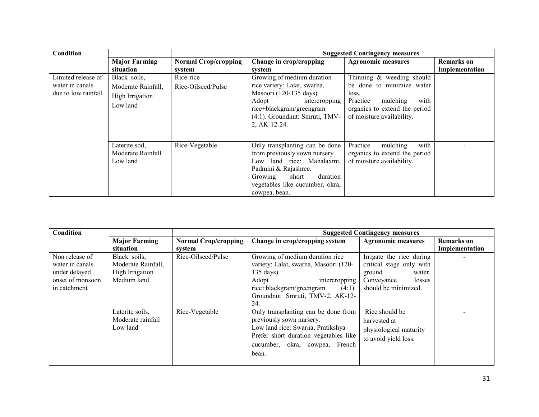| <b>Condition</b>                                             |                                                                   |                                       |                                                                                                                                                                                                          | <b>Suggested Contingency measures</b>                                                                                                                         |                                     |
|--------------------------------------------------------------|-------------------------------------------------------------------|---------------------------------------|----------------------------------------------------------------------------------------------------------------------------------------------------------------------------------------------------------|---------------------------------------------------------------------------------------------------------------------------------------------------------------|-------------------------------------|
|                                                              | <b>Major Farming</b><br>situation                                 | <b>Normal Crop/cropping</b><br>system | Change in crop/cropping<br>system                                                                                                                                                                        | <b>Agronomic measures</b>                                                                                                                                     | <b>Remarks</b> on<br>Implementation |
| Limited release of<br>water in canals<br>due to low rainfall | Black soils,<br>Moderate Rainfall,<br>High Irrigation<br>Low land | Rice-rice<br>Rice-Oilseed/Pulse       | Growing of medium duration<br>rice variety: Lalat, swarna,<br>Masoori (120-135 days).<br>Adopt<br>intercropping<br>rice+blackgram/greengram<br>(4:1). Groundnut: Smruti, TMV-<br>2, AK-12-24.            | Thinning & weeding should<br>be done to minimize water<br>loss.<br>Practice<br>with<br>mulching<br>organics to extend the period<br>of moisture availability. |                                     |
|                                                              | Laterite soil,<br>Moderate Rainfall<br>Low land                   | Rice-Vegetable                        | Only transplanting can be done<br>from previously sown nursery.<br>Low land rice: Mahalaxmi,<br>Padmini & Rajashree.<br>Growing<br>short<br>duration<br>vegetables like cucumber, okra,<br>cowpea, bean. | with<br>mulching<br>Practice<br>organics to extend the period<br>of moisture availability.                                                                    |                                     |

| <b>Condition</b>                                                                       |                                                                      |                             | <b>Suggested Contingency measures</b>                                                                                                                                                                |                                                                                                                          |                   |
|----------------------------------------------------------------------------------------|----------------------------------------------------------------------|-----------------------------|------------------------------------------------------------------------------------------------------------------------------------------------------------------------------------------------------|--------------------------------------------------------------------------------------------------------------------------|-------------------|
|                                                                                        | <b>Major Farming</b>                                                 | <b>Normal Crop/cropping</b> | Change in crop/cropping system                                                                                                                                                                       | <b>Agronomic measures</b>                                                                                                | <b>Remarks</b> on |
|                                                                                        | situation                                                            | system                      |                                                                                                                                                                                                      |                                                                                                                          | Implementation    |
| Non release of<br>water in canals<br>under delayed<br>onset of monsoon<br>in catchment | Black soils,<br>Moderate Rainfall,<br>High Irrigation<br>Medium land | Rice-Oilseed/Pulse          | Growing of medium duration rice<br>variety: Lalat, swarna, Masoori (120-<br>135 days).<br>Adopt<br>intercropping<br>rice+blackgram/greengram<br>$(4:1)$ .<br>Groundnut: Smruti, TMV-2, AK-12-<br>24. | Irrigate the rice during<br>critical stage only with<br>ground<br>water.<br>Conveyance<br>losses<br>should be minimized. |                   |
|                                                                                        | Laterite soils,<br>Moderate rainfall<br>Low land                     | Rice-Vegetable              | Only transplanting can be done from<br>previously sown nursery.<br>Low land rice: Swarna, Pratikshya<br>Prefer short duration vegetables like<br>cucumber, okra, cowpea, French<br>bean.             | Rice should be<br>harvested at<br>physiological maturity<br>to avoid yield loss.                                         |                   |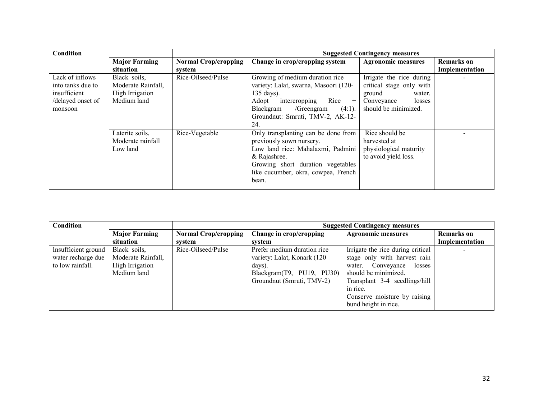| <b>Condition</b>                                                                     |                                                                      |                             | <b>Suggested Contingency measures</b>                                                                                                                                                                                   |                                                                                                                          |                   |
|--------------------------------------------------------------------------------------|----------------------------------------------------------------------|-----------------------------|-------------------------------------------------------------------------------------------------------------------------------------------------------------------------------------------------------------------------|--------------------------------------------------------------------------------------------------------------------------|-------------------|
|                                                                                      | <b>Major Farming</b>                                                 | <b>Normal Crop/cropping</b> | Change in crop/cropping system                                                                                                                                                                                          | <b>Agronomic measures</b>                                                                                                | <b>Remarks</b> on |
|                                                                                      | situation                                                            | system                      |                                                                                                                                                                                                                         |                                                                                                                          | Implementation    |
| Lack of inflows<br>into tanks due to<br>insufficient<br>/delayed onset of<br>monsoon | Black soils,<br>Moderate Rainfall,<br>High Irrigation<br>Medium land | Rice-Oilseed/Pulse          | Growing of medium duration rice<br>variety: Lalat, swarna, Masoori (120-<br>$135 \text{ days}$ ).<br>Adopt<br>$Rice +$<br>intercropping<br>Blackgram /Greengram<br>$(4:1)$ .<br>Groundnut: Smruti, TMV-2, AK-12-<br>24. | Irrigate the rice during<br>critical stage only with<br>ground<br>water.<br>losses<br>Conveyance<br>should be minimized. |                   |
|                                                                                      | Laterite soils,<br>Moderate rainfall<br>Low land                     | Rice-Vegetable              | Only transplanting can be done from<br>previously sown nursery.<br>Low land rice: Mahalaxmi, Padmini<br>& Rajashree.<br>Growing short duration vegetables<br>like cucumber, okra, cowpea, French<br>bean.               | Rice should be<br>harvested at<br>physiological maturity<br>to avoid yield loss.                                         |                   |

| Condition           |                      |                             | <b>Suggested Contingency measures</b> |                                   |                   |
|---------------------|----------------------|-----------------------------|---------------------------------------|-----------------------------------|-------------------|
|                     | <b>Major Farming</b> | <b>Normal Crop/cropping</b> | Change in crop/cropping               | <b>Agronomic measures</b>         | <b>Remarks</b> on |
|                     | situation            | system                      | system                                |                                   | Implementation    |
| Insufficient ground | Black soils,         | Rice-Oilseed/Pulse          | Prefer medium duration rice           | Irrigate the rice during critical |                   |
| water recharge due  | Moderate Rainfall,   |                             | variety: Lalat, Konark (120)          | stage only with harvest rain      |                   |
| to low rainfall.    | High Irrigation      |                             | days).                                | Conveyance<br>losses<br>water.    |                   |
|                     | Medium land          |                             | Blackgram(T9, PU19, PU30)             | should be minimized.              |                   |
|                     |                      |                             | Groundnut (Smruti, TMV-2)             | Transplant 3-4 seedlings/hill     |                   |
|                     |                      |                             |                                       | in rice.                          |                   |
|                     |                      |                             |                                       | Conserve moisture by raising      |                   |
|                     |                      |                             |                                       | bund height in rice.              |                   |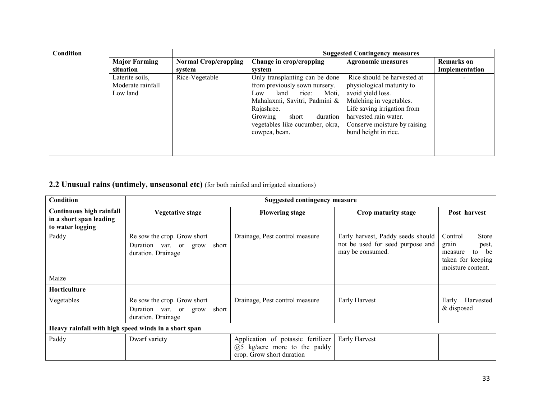| Condition |                      |                             | <b>Suggested Contingency measures</b> |                              |                   |
|-----------|----------------------|-----------------------------|---------------------------------------|------------------------------|-------------------|
|           | <b>Major Farming</b> | <b>Normal Crop/cropping</b> | Change in crop/cropping               | <b>Agronomic measures</b>    | <b>Remarks</b> on |
|           | situation            | system                      | system                                |                              | Implementation    |
|           | Laterite soils,      | Rice-Vegetable              | Only transplanting can be done        | Rice should be harvested at  |                   |
|           | Moderate rainfall    |                             | from previously sown nursery.         | physiological maturity to    |                   |
|           | Low land             |                             | land<br>Moti,<br>rice:<br>Low.        | avoid yield loss.            |                   |
|           |                      |                             | Mahalaxmi, Savitri, Padmini &         | Mulching in vegetables.      |                   |
|           |                      |                             | Rajashree.                            | Life saving irrigation from  |                   |
|           |                      |                             | duration<br>Growing<br>short          | harvested rain water.        |                   |
|           |                      |                             | vegetables like cucumber, okra,       | Conserve moisture by raising |                   |
|           |                      |                             | cowpea, bean.                         | bund height in rice.         |                   |
|           |                      |                             |                                       |                              |                   |
|           |                      |                             |                                       |                              |                   |

# 2.2 Unusual rains (untimely, unseasonal etc) (for both rainfed and irrigated situations)

| Condition                                                               | <b>Suggested contingency measure</b>                                                |                                                                                                                 |                                                                                           |                                                                                                            |  |
|-------------------------------------------------------------------------|-------------------------------------------------------------------------------------|-----------------------------------------------------------------------------------------------------------------|-------------------------------------------------------------------------------------------|------------------------------------------------------------------------------------------------------------|--|
| Continuous high rainfall<br>in a short span leading<br>to water logging | <b>Vegetative stage</b>                                                             | <b>Flowering stage</b>                                                                                          | Crop maturity stage                                                                       | Post harvest                                                                                               |  |
| Paddy                                                                   | Re sow the crop. Grow short<br>Duration var. or grow<br>short<br>duration. Drainage | Drainage, Pest control measure                                                                                  | Early harvest, Paddy seeds should<br>not be used for seed purpose and<br>may be consumed. | <b>Store</b><br>Control<br>grain<br>pest,<br>be<br>to<br>measure<br>taken for keeping<br>moisture content. |  |
| Maize                                                                   |                                                                                     |                                                                                                                 |                                                                                           |                                                                                                            |  |
| <b>Horticulture</b>                                                     |                                                                                     |                                                                                                                 |                                                                                           |                                                                                                            |  |
| Vegetables                                                              | Re sow the crop. Grow short<br>Duration var. or grow short<br>duration. Drainage    | Drainage, Pest control measure                                                                                  | <b>Early Harvest</b>                                                                      | Harvested<br>Early<br>& disposed                                                                           |  |
|                                                                         | Heavy rainfall with high speed winds in a short span                                |                                                                                                                 |                                                                                           |                                                                                                            |  |
| Paddy                                                                   | Dwarf variety                                                                       | Application of potassic fertilizer<br>$(a)$ <sub>5</sub> kg/acre more to the paddy<br>crop. Grow short duration | Early Harvest                                                                             |                                                                                                            |  |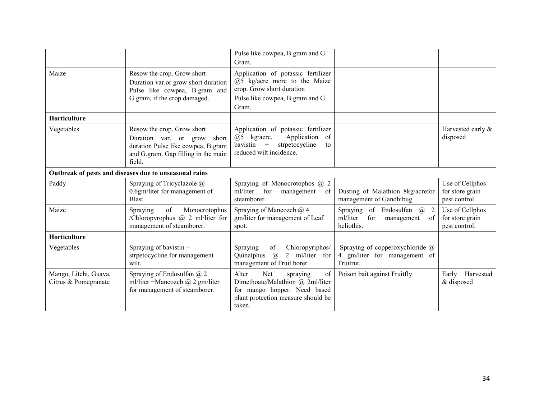|                                               |                                                                                                                                                     | Pulse like cowpea, B.gram and G.<br>Gram.                                                                                                          |                                                                                        |                                                     |
|-----------------------------------------------|-----------------------------------------------------------------------------------------------------------------------------------------------------|----------------------------------------------------------------------------------------------------------------------------------------------------|----------------------------------------------------------------------------------------|-----------------------------------------------------|
| Maize                                         | Resow the crop. Grow short<br>Duration var.or grow short duration<br>Pulse like cowpea, B.gram and<br>G.gram, if the crop damaged.                  | Application of potassic fertilizer<br>$(a)$ 5 kg/acre more to the Maize<br>crop. Grow short duration<br>Pulse like cowpea, B.gram and G.<br>Gram.  |                                                                                        |                                                     |
| Horticulture                                  |                                                                                                                                                     |                                                                                                                                                    |                                                                                        |                                                     |
| Vegetables                                    | Resow the crop. Grow short<br>Duration var. or grow<br>short<br>duration Pulse like cowpea, B.gram<br>and G.gram. Gap filling in the main<br>field. | Application of potassic fertilizer<br>Application of<br>$(a)5$ kg/acre.<br>bavistin +<br>strpetocycline<br>to<br>reduced wilt incidence.           |                                                                                        | Harvested early &<br>disposed                       |
|                                               | Outbreak of pests and diseases due to unseasonal rains                                                                                              |                                                                                                                                                    |                                                                                        |                                                     |
| Paddy                                         | Spraying of Tricyclazole $\omega$<br>0.6gm/liter for management of<br>Blast.                                                                        | Spraying of Monocrotophos @ 2<br>ml/liter for<br>management<br>of<br>steamborer.                                                                   | Dusting of Malathion 8kg/acrefor<br>management of Gandhibug.                           | Use of Cellphos<br>for store grain<br>pest control. |
| Maize                                         | of<br>Monocrotophus<br><b>Spraying</b><br>/Chloropyrophus $(a)$ 2 ml/liter for<br>management of steamborer.                                         | Spraying of Mancozeb $(a)$ 4<br>gm/liter for management of Leaf<br>spot.                                                                           | Spraying of Endosulfan $(a)$<br>2<br>ml/liter<br>for<br>of<br>management<br>heliothis. | Use of Cellphos<br>for store grain<br>pest control. |
| Horticulture                                  |                                                                                                                                                     |                                                                                                                                                    |                                                                                        |                                                     |
| Vegetables                                    | Spraying of bavistin +<br>strpetocycline for management<br>wilt.                                                                                    | Spraying<br>of<br>Chloropyriphos/<br>2 ml/liter for<br>Quinalphus $\omega$<br>management of Fruit borer.                                           | Spraying of copperoxychloride @<br>4 gm/liter for management of<br>Fruitrut.           |                                                     |
| Mango, Litchi, Guava,<br>Citrus & Pomegranate | Spraying of Endosulfan @ 2<br>ml/liter +Mancozeb $(a)$ 2 gm/liter<br>for management of steamborer.                                                  | Alter<br>Net<br>of<br>spraying<br>Dimethoate/Malathion @ 2ml/liter<br>for mango hopper. Need based<br>plant protection measure should be<br>taken. | Poison bait against Fruitfly                                                           | Harvested<br>Early<br>& disposed                    |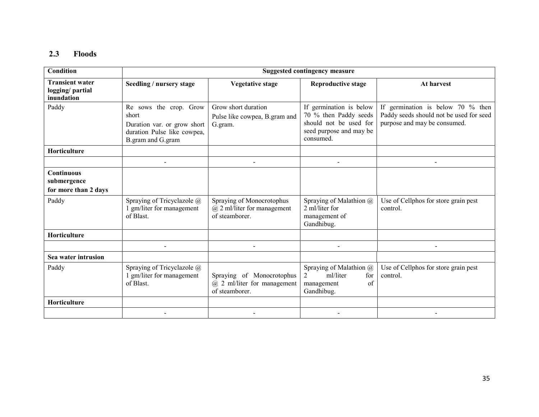# 2.3 Floods

| Condition                                                |                                                                                                                    |                                                                                | <b>Suggested contingency measure</b>                                                                               |                                                                                                                 |
|----------------------------------------------------------|--------------------------------------------------------------------------------------------------------------------|--------------------------------------------------------------------------------|--------------------------------------------------------------------------------------------------------------------|-----------------------------------------------------------------------------------------------------------------|
| <b>Transient water</b><br>logging/partial<br>inundation  | Seedling / nursery stage                                                                                           | <b>Vegetative stage</b>                                                        | <b>Reproductive stage</b>                                                                                          | At harvest                                                                                                      |
| Paddy                                                    | Re sows the crop. Grow<br>short<br>Duration var. or grow short<br>duration Pulse like cowpea,<br>B.gram and G.gram | Grow short duration<br>Pulse like cowpea, B.gram and<br>G.gram.                | If germination is below<br>70 % then Paddy seeds<br>should not be used for<br>seed purpose and may be<br>consumed. | If germination is below 70 $\%$ then<br>Paddy seeds should not be used for seed<br>purpose and may be consumed. |
| Horticulture                                             |                                                                                                                    |                                                                                |                                                                                                                    |                                                                                                                 |
|                                                          |                                                                                                                    |                                                                                |                                                                                                                    |                                                                                                                 |
| <b>Continuous</b><br>submergence<br>for more than 2 days |                                                                                                                    |                                                                                |                                                                                                                    |                                                                                                                 |
| Paddy                                                    | Spraying of Tricyclazole @<br>1 gm/liter for management<br>of Blast.                                               | Spraying of Monocrotophus<br>$(a)$ 2 ml/liter for management<br>of steamborer. | Spraying of Malathion @<br>2 ml/liter for<br>management of<br>Gandhibug.                                           | Use of Cellphos for store grain pest<br>control.                                                                |
| Horticulture                                             |                                                                                                                    |                                                                                |                                                                                                                    |                                                                                                                 |
|                                                          |                                                                                                                    |                                                                                |                                                                                                                    |                                                                                                                 |
| Sea water intrusion                                      |                                                                                                                    |                                                                                |                                                                                                                    |                                                                                                                 |
| Paddy                                                    | Spraying of Tricyclazole @<br>1 gm/liter for management<br>of Blast.                                               | Spraying of Monocrotophus<br>$@$ 2 ml/liter for management<br>of steamborer.   | Spraying of Malathion @<br>ml/liter<br>2<br>for<br>management<br>of<br>Gandhibug.                                  | Use of Cellphos for store grain pest<br>control.                                                                |
| Horticulture                                             |                                                                                                                    |                                                                                |                                                                                                                    |                                                                                                                 |
|                                                          |                                                                                                                    |                                                                                |                                                                                                                    |                                                                                                                 |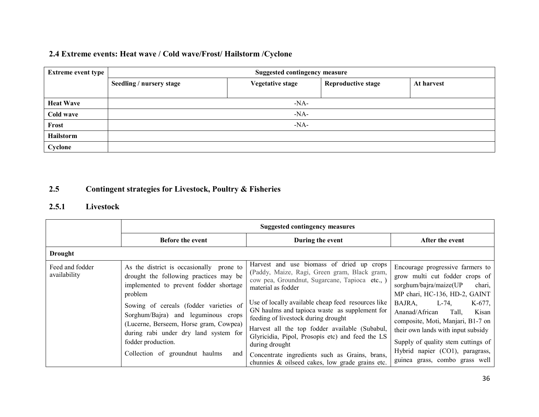# 2.4 Extreme events: Heat wave / Cold wave/Frost/ Hailstorm /Cyclone

| <b>Extreme event type</b> | <b>Suggested contingency measure</b>                                                           |  |  |  |  |  |
|---------------------------|------------------------------------------------------------------------------------------------|--|--|--|--|--|
|                           | <b>Reproductive stage</b><br><b>Vegetative stage</b><br>Seedling / nursery stage<br>At harvest |  |  |  |  |  |
|                           |                                                                                                |  |  |  |  |  |
| <b>Heat Wave</b>          | $-NA-$                                                                                         |  |  |  |  |  |
| Cold wave                 | $-NA-$                                                                                         |  |  |  |  |  |
| Frost                     | $-NA-$                                                                                         |  |  |  |  |  |
| Hailstorm                 |                                                                                                |  |  |  |  |  |
| Cyclone                   |                                                                                                |  |  |  |  |  |

#### 2.5Contingent strategies for Livestock, Poultry & Fisheries

### 2.5.1 Livestock

|                                 | <b>Suggested contingency measures</b>                                                                                                                                                                                                                                                                                                                                      |                                                                                                                                                                                                                                                                                                                                                                                                                                                                                                                                              |                                                                                                                                                                                                                                                                                                                                                                                                   |  |  |
|---------------------------------|----------------------------------------------------------------------------------------------------------------------------------------------------------------------------------------------------------------------------------------------------------------------------------------------------------------------------------------------------------------------------|----------------------------------------------------------------------------------------------------------------------------------------------------------------------------------------------------------------------------------------------------------------------------------------------------------------------------------------------------------------------------------------------------------------------------------------------------------------------------------------------------------------------------------------------|---------------------------------------------------------------------------------------------------------------------------------------------------------------------------------------------------------------------------------------------------------------------------------------------------------------------------------------------------------------------------------------------------|--|--|
|                                 | <b>Before the event</b>                                                                                                                                                                                                                                                                                                                                                    | During the event                                                                                                                                                                                                                                                                                                                                                                                                                                                                                                                             | After the event                                                                                                                                                                                                                                                                                                                                                                                   |  |  |
| <b>Drought</b>                  |                                                                                                                                                                                                                                                                                                                                                                            |                                                                                                                                                                                                                                                                                                                                                                                                                                                                                                                                              |                                                                                                                                                                                                                                                                                                                                                                                                   |  |  |
| Feed and fodder<br>availability | As the district is occasionally prone to<br>drought the following practices may be<br>implemented to prevent fodder shortage<br>problem<br>Sowing of cereals (fodder varieties of<br>Sorghum/Bajra) and leguminous crops<br>(Lucerne, Berseem, Horse gram, Cowpea)<br>during rabi under dry land system for<br>fodder production.<br>Collection of groundnut haulms<br>and | Harvest and use biomass of dried up crops<br>(Paddy, Maize, Ragi, Green gram, Black gram,<br>cow pea, Groundnut, Sugarcane, Tapioca etc., )<br>material as fodder<br>Use of locally available cheap feed resources like<br>GN haulms and tapioca waste as supplement for<br>feeding of livestock during drought<br>Harvest all the top fodder available (Subabul,<br>Glyricidia, Pipol, Prosopis etc) and feed the LS<br>during drought<br>Concentrate ingredients such as Grains, brans,<br>chunnies & oilseed cakes, low grade grains etc. | Encourage progressive farmers to<br>grow multi cut fodder crops of<br>sorghum/bajra/maize(UP<br>chari,<br>MP chari, HC-136, HD-2, GAINT<br>BAJRA,<br>$K-677$ ,<br>L-74.<br>Ananad/African<br>Tall,<br>Kisan<br>composite, Moti, Manjari, B1-7 on<br>their own lands with input subsidy<br>Supply of quality stem cuttings of<br>Hybrid napier (CO1), paragrass,<br>guinea grass, combo grass well |  |  |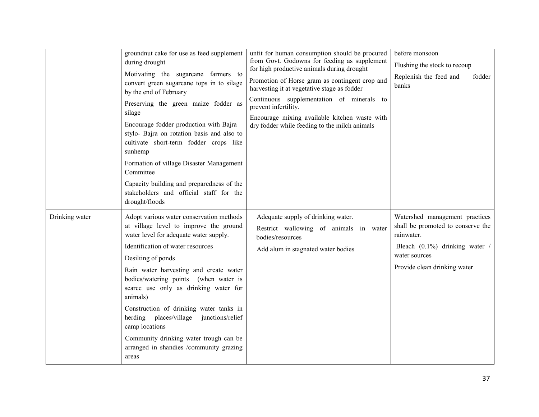|                | groundnut cake for use as feed supplement<br>during drought<br>Motivating the sugarcane farmers to<br>convert green sugarcane tops in to silage<br>by the end of February<br>Preserving the green maize fodder as<br>silage<br>Encourage fodder production with Bajra -<br>stylo- Bajra on rotation basis and also to<br>cultivate short-term fodder crops like<br>sunhemp<br>Formation of village Disaster Management<br>Committee<br>Capacity building and preparedness of the<br>stakeholders and official staff for the                             | unfit for human consumption should be procured<br>from Govt. Godowns for feeding as supplement<br>for high productive animals during drought<br>Promotion of Horse gram as contingent crop and<br>harvesting it at vegetative stage as fodder<br>Continuous supplementation of minerals to<br>prevent infertility.<br>Encourage mixing available kitchen waste with<br>dry fodder while feeding to the milch animals | before monsoon<br>Flushing the stock to recoup<br>Replenish the feed and<br>fodder<br>banks                                                                          |
|----------------|---------------------------------------------------------------------------------------------------------------------------------------------------------------------------------------------------------------------------------------------------------------------------------------------------------------------------------------------------------------------------------------------------------------------------------------------------------------------------------------------------------------------------------------------------------|----------------------------------------------------------------------------------------------------------------------------------------------------------------------------------------------------------------------------------------------------------------------------------------------------------------------------------------------------------------------------------------------------------------------|----------------------------------------------------------------------------------------------------------------------------------------------------------------------|
| Drinking water | drought/floods<br>Adopt various water conservation methods<br>at village level to improve the ground<br>water level for adequate water supply.<br>Identification of water resources<br>Desilting of ponds<br>Rain water harvesting and create water<br>bodies/watering points (when water is<br>scarce use only as drinking water for<br>animals)<br>Construction of drinking water tanks in<br>herding places/village junctions/relief<br>camp locations<br>Community drinking water trough can be<br>arranged in shandies /community grazing<br>areas | Adequate supply of drinking water.<br>Restrict wallowing of animals in water<br>bodies/resources<br>Add alum in stagnated water bodies                                                                                                                                                                                                                                                                               | Watershed management practices<br>shall be promoted to conserve the<br>rainwater.<br>Bleach (0.1%) drinking water /<br>water sources<br>Provide clean drinking water |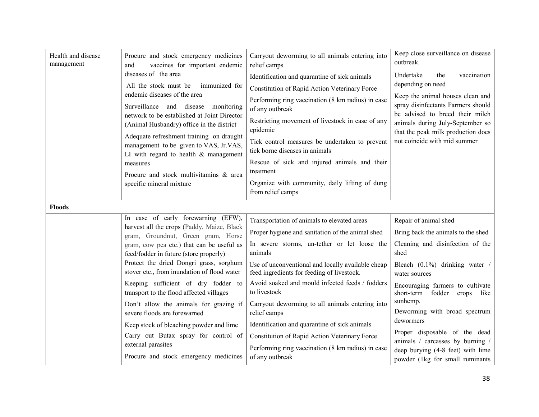| Health and disease<br>management | Procure and stock emergency medicines<br>vaccines for important endemic<br>and<br>diseases of the area<br>All the stock must be immunized for<br>endemic diseases of the area<br>Surveillance and disease monitoring<br>network to be established at Joint Director<br>(Animal Husbandry) office in the district<br>Adequate refreshment training on draught<br>management to be given to VAS, Jr.VAS,<br>LI with regard to health $&$ management<br>measures<br>Procure and stock multivitamins & area<br>specific mineral mixture                                                                                     | Carryout deworming to all animals entering into<br>relief camps<br>Identification and quarantine of sick animals<br>Constitution of Rapid Action Veterinary Force<br>Performing ring vaccination (8 km radius) in case<br>of any outbreak<br>Restricting movement of livestock in case of any<br>epidemic<br>Tick control measures be undertaken to prevent<br>tick borne diseases in animals<br>Rescue of sick and injured animals and their<br>treatment<br>Organize with community, daily lifting of dung                                                                  | Keep close surveillance on disease<br>outbreak.<br>Undertake<br>the<br>vaccination<br>depending on need<br>Keep the animal houses clean and<br>spray disinfectants Farmers should<br>be advised to breed their milch<br>animals during July-September so<br>that the peak milk production does<br>not coincide with mid summer                                                                                                                  |
|----------------------------------|-------------------------------------------------------------------------------------------------------------------------------------------------------------------------------------------------------------------------------------------------------------------------------------------------------------------------------------------------------------------------------------------------------------------------------------------------------------------------------------------------------------------------------------------------------------------------------------------------------------------------|-------------------------------------------------------------------------------------------------------------------------------------------------------------------------------------------------------------------------------------------------------------------------------------------------------------------------------------------------------------------------------------------------------------------------------------------------------------------------------------------------------------------------------------------------------------------------------|-------------------------------------------------------------------------------------------------------------------------------------------------------------------------------------------------------------------------------------------------------------------------------------------------------------------------------------------------------------------------------------------------------------------------------------------------|
| <b>Floods</b>                    |                                                                                                                                                                                                                                                                                                                                                                                                                                                                                                                                                                                                                         | from relief camps                                                                                                                                                                                                                                                                                                                                                                                                                                                                                                                                                             |                                                                                                                                                                                                                                                                                                                                                                                                                                                 |
|                                  | In case of early forewarning (EFW),<br>harvest all the crops (Paddy, Maize, Black<br>gram, Groundnut, Green gram, Horse<br>gram, cow pea etc.) that can be useful as<br>feed/fodder in future (store properly)<br>Protect the dried Dongri grass, sorghum<br>stover etc., from inundation of flood water<br>Keeping sufficient of dry fodder to<br>transport to the flood affected villages<br>Don't allow the animals for grazing if<br>severe floods are forewarned<br>Keep stock of bleaching powder and lime<br>Carry out Butax spray for control of<br>external parasites<br>Procure and stock emergency medicines | Transportation of animals to elevated areas<br>Proper hygiene and sanitation of the animal shed<br>In severe storms, un-tether or let loose the<br>animals<br>Use of unconventional and locally available cheap<br>feed ingredients for feeding of livestock.<br>Avoid soaked and mould infected feeds / fodders<br>to livestock<br>Carryout deworming to all animals entering into<br>relief camps<br>Identification and quarantine of sick animals<br>Constitution of Rapid Action Veterinary Force<br>Performing ring vaccination (8 km radius) in case<br>of any outbreak | Repair of animal shed<br>Bring back the animals to the shed<br>Cleaning and disinfection of the<br>shed<br>Bleach $(0.1\%)$ drinking water /<br>water sources<br>Encouraging farmers to cultivate<br>fodder crops<br>short-term<br>like<br>sunhemp.<br>Deworming with broad spectrum<br>dewormers<br>Proper disposable of the dead<br>animals / carcasses by burning /<br>deep burying (4-8 feet) with lime<br>powder (1kg for small ruminants) |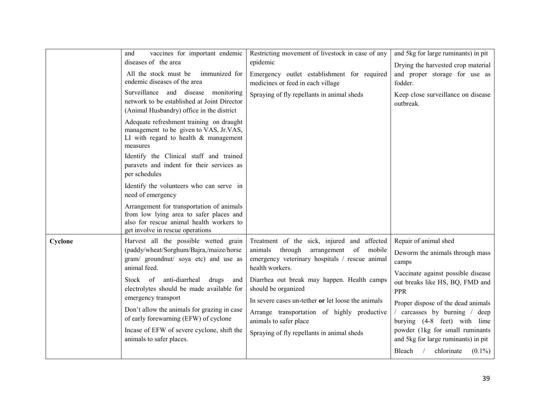|         | vaccines for important endemic<br>and<br>diseases of the area<br>All the stock must be<br>immunized for<br>endemic diseases of the area<br>Surveillance and disease monitoring<br>network to be established at Joint Director<br>(Animal Husbandry) office in the district<br>Adequate refreshment training on draught<br>management to be given to VAS, Jr.VAS,<br>LI with regard to health $\&$ management<br>measures<br>Identify the Clinical staff and trained<br>paravets and indent for their services as<br>per schedules<br>Identify the volunteers who can serve in<br>need of emergency<br>Arrangement for transportation of animals<br>from low lying area to safer places and<br>also for rescue animal health workers to | Restricting movement of livestock in case of any<br>epidemic<br>Emergency outlet establishment for required<br>medicines or feed in each village<br>Spraying of fly repellants in animal sheds                                                                                                                                                                                                                        | and 5kg for large ruminants) in pit<br>Drying the harvested crop material<br>and proper storage for use as<br>fodder.<br>Keep close surveillance on disease<br>outbreak.                                                                                                                                                                                                  |
|---------|----------------------------------------------------------------------------------------------------------------------------------------------------------------------------------------------------------------------------------------------------------------------------------------------------------------------------------------------------------------------------------------------------------------------------------------------------------------------------------------------------------------------------------------------------------------------------------------------------------------------------------------------------------------------------------------------------------------------------------------|-----------------------------------------------------------------------------------------------------------------------------------------------------------------------------------------------------------------------------------------------------------------------------------------------------------------------------------------------------------------------------------------------------------------------|---------------------------------------------------------------------------------------------------------------------------------------------------------------------------------------------------------------------------------------------------------------------------------------------------------------------------------------------------------------------------|
| Cyclone | get involve in rescue operations<br>Harvest all the possible wetted grain<br>(paddy/wheat/Sorghum/Bajra,/maize/horse<br>gram/ groundnut/ soya etc) and use as<br>animal feed.<br>Stock of anti-diarrheal drugs<br>and<br>electrolytes should be made available for<br>emergency transport<br>Don't allow the animals for grazing in case<br>of early forewarning (EFW) of cyclone<br>Incase of EFW of severe cyclone, shift the<br>animals to safer places.                                                                                                                                                                                                                                                                            | Treatment of the sick, injured and affected<br>animals through<br>arrangement<br>of<br>mobile<br>emergency veterinary hospitals / rescue animal<br>health workers.<br>Diarrhea out break may happen. Health camps<br>should be organized<br>In severe cases un-tether or let loose the animals<br>Arrange transportation of highly productive<br>animals to safer place<br>Spraying of fly repellants in animal sheds | Repair of animal shed<br>Deworm the animals through mass<br>camps<br>Vaccinate against possible disease<br>out breaks like HS, BQ, FMD and<br>PPR<br>Proper dispose of the dead animals<br>carcasses by burning / deep<br>burying (4-8 feet) with lime<br>powder (1kg for small ruminants<br>and 5kg for large ruminants) in pit<br>$(0.1\%)$<br>Bleach $/$<br>chlorinate |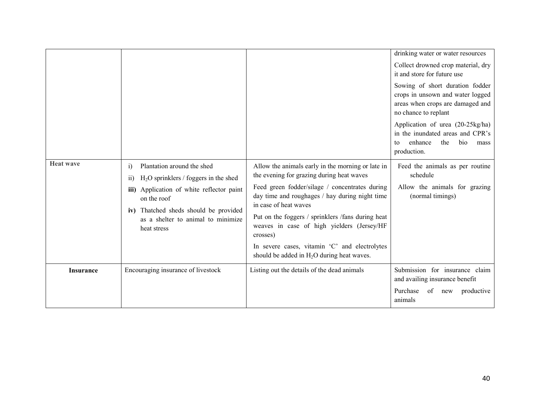|                                                   |                                                                                                                                                       |                                                                                                                                                  | drinking water or water resources                                                                                               |
|---------------------------------------------------|-------------------------------------------------------------------------------------------------------------------------------------------------------|--------------------------------------------------------------------------------------------------------------------------------------------------|---------------------------------------------------------------------------------------------------------------------------------|
|                                                   |                                                                                                                                                       |                                                                                                                                                  | Collect drowned crop material, dry<br>it and store for future use                                                               |
|                                                   |                                                                                                                                                       |                                                                                                                                                  | Sowing of short duration fodder<br>crops in unsown and water logged<br>areas when crops are damaged and<br>no chance to replant |
|                                                   |                                                                                                                                                       |                                                                                                                                                  | Application of urea (20-25kg/ha)<br>in the inundated areas and CPR's<br>enhance<br>the<br>bio<br>mass<br>to<br>production.      |
| <b>Heat wave</b>                                  | Plantation around the shed<br>$\ddot{1}$<br>$H2O$ sprinklers / foggers in the shed<br>$\overline{11}$<br>Application of white reflector paint<br>iii) | Allow the animals early in the morning or late in<br>the evening for grazing during heat waves<br>Feed green fodder/silage / concentrates during | Feed the animals as per routine<br>schedule<br>Allow the animals for grazing                                                    |
|                                                   | on the roof<br>Thatched sheds should be provided<br>iv)                                                                                               | day time and roughages / hay during night time<br>in case of heat waves                                                                          | (normal timings)                                                                                                                |
| as a shelter to animal to minimize<br>heat stress | Put on the foggers / sprinklers /fans during heat<br>weaves in case of high yielders (Jersey/HF<br>crosses)                                           |                                                                                                                                                  |                                                                                                                                 |
|                                                   |                                                                                                                                                       | In severe cases, vitamin 'C' and electrolytes<br>should be added in $H_2O$ during heat waves.                                                    |                                                                                                                                 |
| <b>Insurance</b>                                  | Encouraging insurance of livestock                                                                                                                    | Listing out the details of the dead animals                                                                                                      | Submission for insurance claim<br>and availing insurance benefit                                                                |
|                                                   |                                                                                                                                                       |                                                                                                                                                  | Purchase<br>of new<br>productive<br>animals                                                                                     |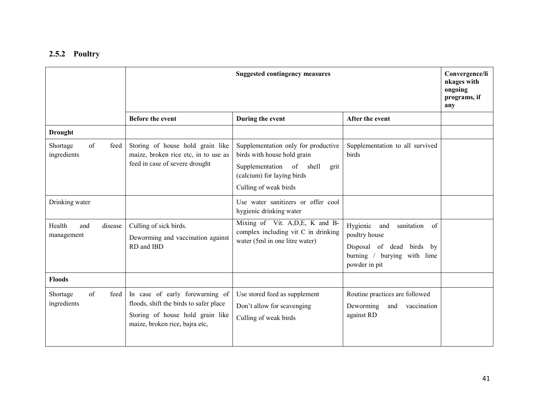### 2.5.2 Poultry

|                                        | <b>Suggested contingency measures</b>                                                                                                           |                                                                                                                                                               |                                                                                                                                         | Convergence/li<br>nkages with<br>ongoing<br>programs, if<br>any |
|----------------------------------------|-------------------------------------------------------------------------------------------------------------------------------------------------|---------------------------------------------------------------------------------------------------------------------------------------------------------------|-----------------------------------------------------------------------------------------------------------------------------------------|-----------------------------------------------------------------|
|                                        | <b>Before the event</b>                                                                                                                         | During the event                                                                                                                                              | After the event                                                                                                                         |                                                                 |
| <b>Drought</b>                         |                                                                                                                                                 |                                                                                                                                                               |                                                                                                                                         |                                                                 |
| of<br>feed<br>Shortage<br>ingredients  | Storing of house hold grain like<br>maize, broken rice etc, in to use as<br>feed in case of severe drought                                      | Supplementation only for productive<br>birds with house hold grain<br>Supplementation of shell<br>grit<br>(calcium) for laying birds<br>Culling of weak birds | Supplementation to all survived<br>birds                                                                                                |                                                                 |
| Drinking water                         |                                                                                                                                                 | Use water sanitizers or offer cool<br>hygienic drinking water                                                                                                 |                                                                                                                                         |                                                                 |
| Health<br>disease<br>and<br>management | Culling of sick birds.<br>Deworming and vaccination against<br>RD and IBD                                                                       | Mixing of Vit. A, D, E, K and B-<br>complex including vit C in drinking<br>water (5ml in one litre water)                                                     | Hygienic<br>sanitation<br>of<br>and<br>poultry house<br>Disposal of dead<br>birds by<br>burning /<br>burying with lime<br>powder in pit |                                                                 |
| <b>Floods</b>                          |                                                                                                                                                 |                                                                                                                                                               |                                                                                                                                         |                                                                 |
| of<br>Shortage<br>feed<br>ingredients  | In case of early forewarning of<br>floods, shift the birds to safer place<br>Storing of house hold grain like<br>maize, broken rice, bajra etc, | Use stored feed as supplement<br>Don't allow for scavenging<br>Culling of weak birds                                                                          | Routine practices are followed<br>Deworming<br>and<br>vaccination<br>against RD                                                         |                                                                 |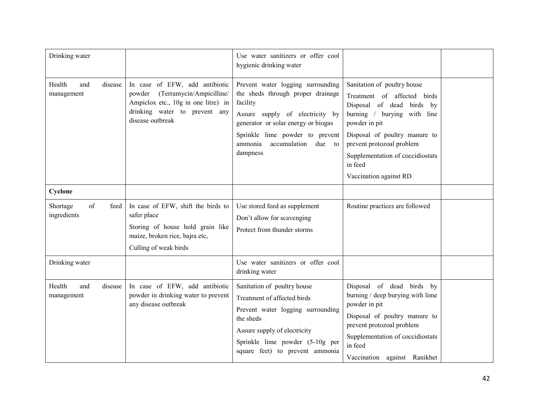| Drinking water                         |                                                                                                                                                                  | Use water sanitizers or offer cool<br>hygienic drinking water                                                                                                                                                                                 |                                                                                                                                                                                                                                                                                |  |
|----------------------------------------|------------------------------------------------------------------------------------------------------------------------------------------------------------------|-----------------------------------------------------------------------------------------------------------------------------------------------------------------------------------------------------------------------------------------------|--------------------------------------------------------------------------------------------------------------------------------------------------------------------------------------------------------------------------------------------------------------------------------|--|
| Health<br>and<br>disease<br>management | In case of EFW, add antibiotic<br>(Terramycin/Ampicilline/<br>powder<br>Ampiclox etc., 10g in one litre) in<br>drinking water to prevent any<br>disease outbreak | Prevent water logging surrounding<br>the sheds through proper drainage<br>facility<br>Assure supply of electricity by<br>generator or solar energy or biogas<br>Sprinkle lime powder to prevent<br>accumulation due to<br>ammonia<br>dampness | Sanitation of poultry house<br>Treatment of affected birds<br>Disposal of dead birds by<br>burning / burying with line<br>powder in pit<br>Disposal of poultry manure to<br>prevent protozoal problem<br>Supplementation of coccidiostats<br>in feed<br>Vaccination against RD |  |
| Cyclone                                |                                                                                                                                                                  |                                                                                                                                                                                                                                               |                                                                                                                                                                                                                                                                                |  |
| of<br>Shortage<br>feed<br>ingredients  | In case of EFW, shift the birds to<br>safer place<br>Storing of house hold grain like<br>maize, broken rice, bajra etc,<br>Culling of weak birds                 | Use stored feed as supplement<br>Don't allow for scavenging<br>Protect from thunder storms                                                                                                                                                    | Routine practices are followed                                                                                                                                                                                                                                                 |  |
| Drinking water                         |                                                                                                                                                                  | Use water sanitizers or offer cool<br>drinking water                                                                                                                                                                                          |                                                                                                                                                                                                                                                                                |  |
| Health<br>and<br>disease<br>management | In case of EFW, add antibiotic<br>powder in drinking water to prevent<br>any disease outbreak                                                                    | Sanitation of poultry house<br>Treatment of affected birds<br>Prevent water logging surrounding<br>the sheds<br>Assure supply of electricity<br>Sprinkle lime powder (5-10g per<br>square feet) to prevent ammonia                            | Disposal of dead birds by<br>burning / deep burying with lime<br>powder in pit<br>Disposal of poultry manure to<br>prevent protozoal problem<br>Supplementation of coccidiostats<br>in feed<br>Vaccination against Ranikhet                                                    |  |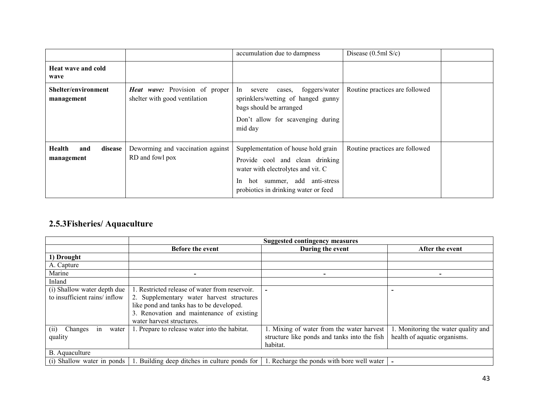|                                          |                                                                        | accumulation due to dampness                                                                                                                                                                         | Disease $(0.5ml S/c)$          |
|------------------------------------------|------------------------------------------------------------------------|------------------------------------------------------------------------------------------------------------------------------------------------------------------------------------------------------|--------------------------------|
| Heat wave and cold<br>wave               |                                                                        |                                                                                                                                                                                                      |                                |
| <b>Shelter/environment</b><br>management | <b>Heat wave:</b> Provision of proper<br>shelter with good ventilation | In<br>foggers/water<br>severe<br>cases,<br>sprinklers/wetting of hanged gunny<br>bags should be arranged<br>Don't allow for scavenging during<br>mid day                                             | Routine practices are followed |
| Health<br>disease<br>and<br>management   | Deworming and vaccination against<br>RD and fowl pox                   | Supplementation of house hold grain<br>Provide cool and clean drinking<br>water with electrolytes and vit. C<br>hot summer, add anti-stress<br><sub>In</sub><br>probiotics in drinking water or feed | Routine practices are followed |

# 2.5.3Fisheries/ Aquaculture

|                               | <b>Suggested contingency measures</b>          |                                              |                                     |
|-------------------------------|------------------------------------------------|----------------------------------------------|-------------------------------------|
|                               | Before the event                               | During the event                             | After the event                     |
| 1) Drought                    |                                                |                                              |                                     |
| A. Capture                    |                                                |                                              |                                     |
| Marine                        |                                                |                                              |                                     |
| Inland                        |                                                |                                              |                                     |
| (i) Shallow water depth due   | 1. Restricted release of water from reservoir. |                                              |                                     |
| to insufficient rains/ inflow | 2. Supplementary water harvest structures      |                                              |                                     |
|                               | like pond and tanks has to be developed.       |                                              |                                     |
|                               | 3. Renovation and maintenance of existing      |                                              |                                     |
|                               | water harvest structures.                      |                                              |                                     |
| Changes<br>water<br>(i)<br>in | 1. Prepare to release water into the habitat.  | 1. Mixing of water from the water harvest    | 1. Monitoring the water quality and |
| quality                       |                                                | structure like ponds and tanks into the fish | health of aquatic organisms.        |
|                               |                                                | habitat.                                     |                                     |
| B. Aquaculture                |                                                |                                              |                                     |
| (i) Shallow water in ponds    | 1. Building deep ditches in culture ponds for  | Recharge the ponds with bore well water      |                                     |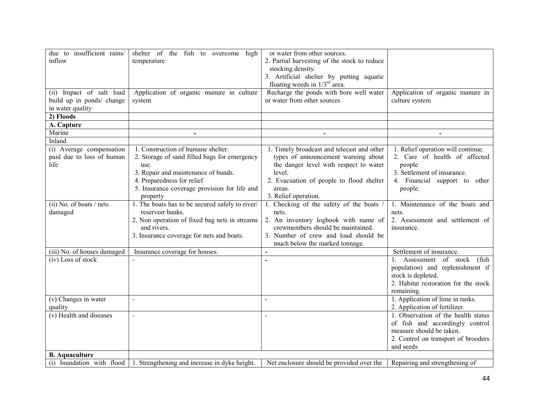| due to insufficient rains/  | shelter of the fish to overcome<br>high                                         | or water from other sources.                 |                                      |
|-----------------------------|---------------------------------------------------------------------------------|----------------------------------------------|--------------------------------------|
| inflow                      | temperature                                                                     | 2. Partial harvesting of the stock to reduce |                                      |
|                             |                                                                                 | stocking density.                            |                                      |
|                             |                                                                                 | 3. Artificial shelter by putting aquatic     |                                      |
|                             |                                                                                 | floating weeds in $1/3^{rd}$ area.           |                                      |
| (ii) Impact of salt load    | Application of organic manure in culture                                        | Recharge the ponds with bore well water      | Application of organic manure in     |
| build up in ponds/ change   | system                                                                          | or water from other sources                  | culture system                       |
| in water quality            |                                                                                 |                                              |                                      |
| 2) Floods                   |                                                                                 |                                              |                                      |
| A. Capture                  |                                                                                 |                                              |                                      |
| Marine                      | $\blacksquare$                                                                  | $\blacksquare$                               | $\blacksquare$                       |
| Inland                      |                                                                                 |                                              |                                      |
| (i) Average compensation    | 1. Construction of humane shelter.                                              | 1. Timely broadcast and telecast and other   | 1. Relief operation will continue.   |
| paid due to loss of human   | 2. Storage of sand filled bags for emergency                                    | types of announcement warning about          | 2. Care of health of affected        |
| life                        | use.                                                                            | the danger level with respect to water       | people                               |
|                             | 3. Repair and maintenance of bunds.                                             | level.                                       | 3. Settlement of insurance.          |
|                             | 4. Preparedness for relief                                                      | 2. Evacuation of people to flood shelter     | 4. Financial support to other        |
|                             | 5. Insurance coverage provision for life and                                    | areas.                                       | people.                              |
|                             | property                                                                        | 3. Relief operation.                         |                                      |
| $(ii)$ No. of boats / nets  | 1. The boats has to be secured safely to river/                                 | 1. Checking of the safety of the boats /     | 1. Maintenance of the boats and      |
| damaged                     | reservoir banks.                                                                | nets.                                        | nets.                                |
|                             | 2. Non operation of fixed bag nets in streams                                   | 2. An inventory logbook with name of         | 2. Assessment and settlement of      |
|                             | and rivers.                                                                     | crewmembers should be maintained.            | insurance.                           |
|                             | 3. Insurance coverage for nets and boats.                                       | 3. Number of crew and load should be         |                                      |
|                             |                                                                                 | much below the marked tonnage.               |                                      |
| (iii) No. of houses damaged |                                                                                 |                                              | Settlement of insurance.             |
| (iv) Loss of stock          | Insurance coverage for houses.                                                  | $\blacksquare$                               | 1. Assessment of stock<br>(fish      |
|                             |                                                                                 |                                              |                                      |
|                             |                                                                                 |                                              | population) and replenishment if     |
|                             |                                                                                 |                                              | stock is depleted.                   |
|                             |                                                                                 |                                              | 2. Habitat restoration for the stock |
|                             |                                                                                 |                                              | remaining.                           |
| (v) Changes in water        | $\blacksquare$                                                                  |                                              | 1. Application of lime in tanks.     |
| quality                     |                                                                                 |                                              | 2. Application of fertilizer.        |
| (v) Health and diseases     | $\blacksquare$                                                                  |                                              | 1. Observation of the health status  |
|                             |                                                                                 |                                              | of fish and accordingly control      |
|                             |                                                                                 |                                              | measure should be taken.             |
|                             |                                                                                 |                                              | 2. Control on transport of brooders  |
|                             |                                                                                 |                                              | and seeds                            |
| <b>B.</b> Aquaculture       |                                                                                 |                                              |                                      |
|                             | (i) Inundation with flood $\vert$ 1. Strengthening and increase in dyke height. | Net enclosure should be provided over the    | Repairing and strengthening of       |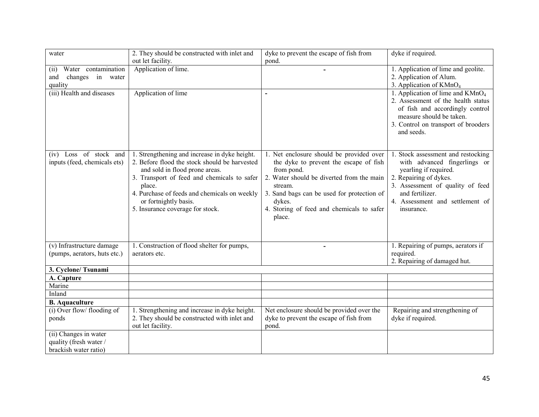| water                        | 2. They should be constructed with inlet and  | dyke to prevent the escape of fish from    | dyke if required.                                                                                                                                                                             |
|------------------------------|-----------------------------------------------|--------------------------------------------|-----------------------------------------------------------------------------------------------------------------------------------------------------------------------------------------------|
|                              | out let facility.                             | pond.                                      |                                                                                                                                                                                               |
| Water contamination<br>(ii)  | Application of lime.                          |                                            | 1. Application of lime and geolite.                                                                                                                                                           |
| changes in water<br>and      |                                               |                                            | 2. Application of Alum.                                                                                                                                                                       |
| quality                      |                                               |                                            | 3. Application of KMnO <sub>4</sub>                                                                                                                                                           |
| (iii) Health and diseases    | Application of lime                           |                                            | 1. Application of lime and $K MnO4$<br>2. Assessment of the health status<br>of fish and accordingly control<br>measure should be taken.<br>3. Control on transport of brooders<br>and seeds. |
| (iv) Loss of stock and       | 1. Strengthening and increase in dyke height. | 1. Net enclosure should be provided over   | 1. Stock assessment and restocking                                                                                                                                                            |
| inputs (feed, chemicals ets) | 2. Before flood the stock should be harvested | the dyke to prevent the escape of fish     | with advanced fingerlings or                                                                                                                                                                  |
|                              | and sold in flood prone areas.                | from pond.                                 | yearling if required.                                                                                                                                                                         |
|                              | 3. Transport of feed and chemicals to safer   | 2. Water should be diverted from the main  | 2. Repairing of dykes.                                                                                                                                                                        |
|                              | place.                                        | stream.                                    | 3. Assessment of quality of feed                                                                                                                                                              |
|                              | 4. Purchase of feeds and chemicals on weekly  | 3. Sand bags can be used for protection of | and fertilizer.                                                                                                                                                                               |
|                              | or fortnightly basis.                         | dykes.                                     | 4. Assessment and settlement of                                                                                                                                                               |
|                              | 5. Insurance coverage for stock.              | 4. Storing of feed and chemicals to safer  | insurance.                                                                                                                                                                                    |
|                              |                                               | place.                                     |                                                                                                                                                                                               |
|                              |                                               |                                            |                                                                                                                                                                                               |
|                              |                                               |                                            |                                                                                                                                                                                               |
| (v) Infrastructure damage    | 1. Construction of flood shelter for pumps,   | $\blacksquare$                             | 1. Repairing of pumps, aerators if                                                                                                                                                            |
| (pumps, aerators, huts etc.) | aerators etc.                                 |                                            | required.                                                                                                                                                                                     |
|                              |                                               |                                            | 2. Repairing of damaged hut.                                                                                                                                                                  |
| 3. Cyclone/Tsunami           |                                               |                                            |                                                                                                                                                                                               |
| A. Capture                   |                                               |                                            |                                                                                                                                                                                               |
| Marine                       |                                               |                                            |                                                                                                                                                                                               |
| Inland                       |                                               |                                            |                                                                                                                                                                                               |
| <b>B.</b> Aquaculture        |                                               |                                            |                                                                                                                                                                                               |
| (i) Over flow/ flooding of   | 1. Strengthening and increase in dyke height. | Net enclosure should be provided over the  | Repairing and strengthening of                                                                                                                                                                |
| ponds                        | 2. They should be constructed with inlet and  | dyke to prevent the escape of fish from    | dyke if required.                                                                                                                                                                             |
|                              | out let facility.                             | pond.                                      |                                                                                                                                                                                               |
| (ii) Changes in water        |                                               |                                            |                                                                                                                                                                                               |
| quality (fresh water /       |                                               |                                            |                                                                                                                                                                                               |
| brackish water ratio)        |                                               |                                            |                                                                                                                                                                                               |